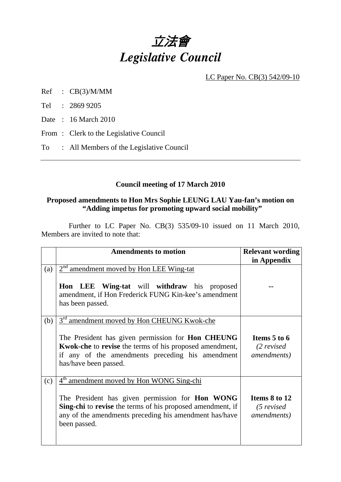

LC Paper No. CB(3) 542/09-10

- Ref : CB(3)/M/MM
- Tel : 2869 9205
- Date : 16 March 2010
- From: Clerk to the Legislative Council
- To : All Members of the Legislative Council

# **Council meeting of 17 March 2010**

# **Proposed amendments to Hon Mrs Sophie LEUNG LAU Yau-fan's motion on "Adding impetus for promoting upward social mobility"**

 Further to LC Paper No. CB(3) 535/09-10 issued on 11 March 2010, Members are invited to note that:

|     | <b>Amendments to motion</b>                                                                                                                                                                                                                                                    | <b>Relevant wording</b><br>in Appendix               |
|-----|--------------------------------------------------------------------------------------------------------------------------------------------------------------------------------------------------------------------------------------------------------------------------------|------------------------------------------------------|
| (a) | $2nd$ amendment moved by Hon LEE Wing-tat<br><b>Hon LEE Wing-tat</b> will withdraw his proposed<br>amendment, if Hon Frederick FUNG Kin-kee's amendment<br>has been passed.                                                                                                    |                                                      |
| (b) | $3^{\rm rd}$<br><sup>1</sup> amendment moved by Hon CHEUNG Kwok-che<br>The President has given permission for <b>Hon CHEUNG</b><br><b>Kwok-che</b> to revise the terms of his proposed amendment,<br>if any of the amendments preceding his amendment<br>has/have been passed. | Items 5 to 6<br>$(2$ revised<br><i>amendments</i> )  |
| (c) | 4 <sup>th</sup> amendment moved by Hon WONG Sing-chi<br>The President has given permission for <b>Hon WONG</b><br>Sing-chi to revise the terms of his proposed amendment, if<br>any of the amendments preceding his amendment has/have<br>been passed.                         | Items 8 to 12<br>$(5$ revised<br><i>amendments</i> ) |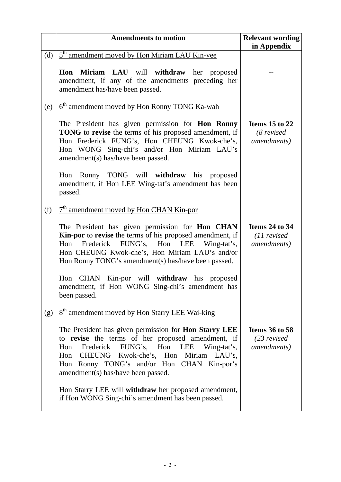|     | <b>Amendments to motion</b>                                                                                                                                                                                                                                                                      | <b>Relevant wording</b><br>in Appendix                        |
|-----|--------------------------------------------------------------------------------------------------------------------------------------------------------------------------------------------------------------------------------------------------------------------------------------------------|---------------------------------------------------------------|
| (d) | 5 <sup>th</sup> amendment moved by Hon Miriam LAU Kin-yee                                                                                                                                                                                                                                        |                                                               |
|     | Hon Miriam LAU will withdraw her proposed<br>amendment, if any of the amendments preceding her<br>amendment has/have been passed.                                                                                                                                                                |                                                               |
| (e) | 6 <sup>th</sup> amendment moved by Hon Ronny TONG Ka-wah                                                                                                                                                                                                                                         |                                                               |
|     | The President has given permission for Hon Ronny<br><b>TONG</b> to revise the terms of his proposed amendment, if<br>Hon Frederick FUNG's, Hon CHEUNG Kwok-che's,<br>Hon WONG Sing-chi's and/or Hon Miriam LAU's<br>amendment(s) has/have been passed.                                           | Items 15 to 22<br>$(8$ revised<br><i>amendments</i> )         |
|     | Hon Ronny TONG will withdraw his proposed<br>amendment, if Hon LEE Wing-tat's amendment has been<br>passed.                                                                                                                                                                                      |                                                               |
| (f) | 7 <sup>th</sup> amendment moved by Hon CHAN Kin-por                                                                                                                                                                                                                                              |                                                               |
|     | The President has given permission for Hon CHAN<br>Kin-por to revise the terms of his proposed amendment, if<br>Frederick FUNG's, Hon LEE Wing-tat's,<br>Hon<br>Hon CHEUNG Kwok-che's, Hon Miriam LAU's and/or<br>Hon Ronny TONG's amendment(s) has/have been passed.                            | <b>Items 24 to 34</b><br>$(11$ revised<br><i>amendments</i> ) |
|     | Hon CHAN Kin-por will withdraw his proposed<br>amendment, if Hon WONG Sing-chi's amendment has<br>been passed.                                                                                                                                                                                   |                                                               |
| (g) | 8 <sup>th</sup> amendment moved by Hon Starry LEE Wai-king                                                                                                                                                                                                                                       |                                                               |
|     | The President has given permission for Hon Starry LEE<br>to revise the terms of her proposed amendment, if<br>Frederick FUNG's, Hon LEE<br>Wing-tat's,<br>Hon<br>CHEUNG Kwok-che's, Hon Miriam LAU's,<br>Hon<br>Hon Ronny TONG's and/or Hon CHAN Kin-por's<br>amendment(s) has/have been passed. | <b>Items 36 to 58</b><br>$(23$ revised<br><i>amendments</i> ) |
|     | Hon Starry LEE will withdraw her proposed amendment,<br>if Hon WONG Sing-chi's amendment has been passed.                                                                                                                                                                                        |                                                               |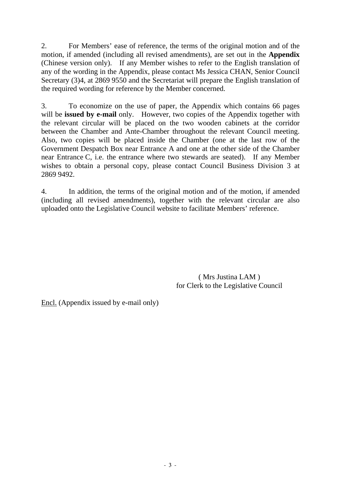2. For Members' ease of reference, the terms of the original motion and of the motion, if amended (including all revised amendments), are set out in the **Appendix**  (Chinese version only). If any Member wishes to refer to the English translation of any of the wording in the Appendix, please contact Ms Jessica CHAN, Senior Council Secretary (3)4, at 2869 9550 and the Secretariat will prepare the English translation of the required wording for reference by the Member concerned.

3. To economize on the use of paper, the Appendix which contains 66 pages will be **issued by e-mail** only. However, two copies of the Appendix together with the relevant circular will be placed on the two wooden cabinets at the corridor between the Chamber and Ante-Chamber throughout the relevant Council meeting. Also, two copies will be placed inside the Chamber (one at the last row of the Government Despatch Box near Entrance A and one at the other side of the Chamber near Entrance C, i.e. the entrance where two stewards are seated). If any Member wishes to obtain a personal copy, please contact Council Business Division 3 at 2869 9492.

4. In addition, the terms of the original motion and of the motion, if amended (including all revised amendments), together with the relevant circular are also uploaded onto the Legislative Council website to facilitate Members' reference.

> ( Mrs Justina LAM ) for Clerk to the Legislative Council

Encl. (Appendix issued by e-mail only)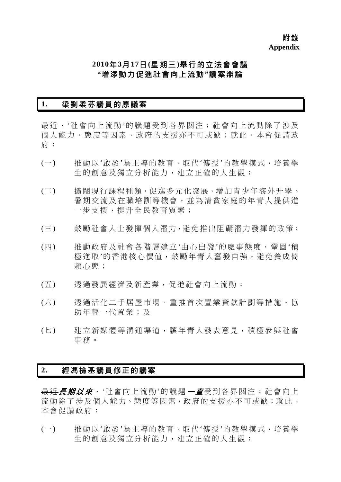# **2010**年**3**月**17**日**(**星期三**)**舉行的立法會會議 **"**增添動力促進社會向上流動**"**議案辯論

# **1.** 梁劉柔芬議員的原議案

最近,'社會向上流動'的議題受到各界關注;社會向上流動除了涉及 個人能力、態度等因素,政府的支援亦不可或缺;就此,本會促請政 府:

- (一) 推動以'啟發'為主導的教育,取代'傳授'的教學模式,培養學 生的創意及獨立分析能力,建立正確的人生觀;
- (二) 擴闊現行課程種類,促進多元化發展,增加青少年海外升學、 暑期交流及在職培訓等機會,並為清貧家庭的年青人提供進 一步支援,提升全民教育質素;
- (三) 鼓勵社會人士發揮個人潛力,避免推出阻礙潛力發揮的政策;
- (四) 推動政府及社會各階層建立'由心出發'的處事態度,鞏固'積 極淮取'的香港核心價值,鼓勵年青人奮發自強,灌免養成倚 賴心態;
- (五) 透過發展經濟及新產業,促進社會向上流動;
- (六) 透過活化二手居屋市場、重推首次置業貸款計劃等措施,協 助年輕一代置業;及
- (七) 建立新媒體等溝通渠道,讓年青人發表意見,積極參與社會 事務。

# **2.** 經馮檢基議員修正的議案

最近*長期以來*, '社會向上流動'的議題 一直受到各界關注;社會向上 流動除了涉及個人能力、態度等因素,政府的支援亦不可或缺;就此, 本會促請政府:

(一) 推動以'啟發'為主導的教育,取代'傳授'的教學模式,培養學 生的創意及獨立分析能力,建立正確的人生觀;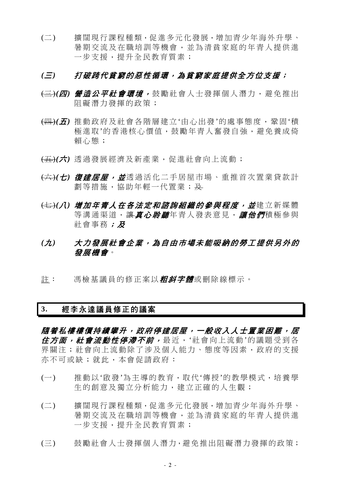(二) 擴闊現行課程種類,促進多元化發展,增加青少年海外升學、 暑期交流及在職培訓等機會,並為清貧家庭的年青人提供進 一步支援,提升全民教育質素;

# *(*三*)* 打破跨代貧窮的惡性循環,為貧窮家庭提供全方位支援;

- (三)*(*四*)* 營造公平社會環境, 鼓勵社會人士發揮個人潛力,避免推出 阻礙潛力發揮的政策;
- (四)*(*五*)* 推動政府及社會各階層建立'由心出發'的處事態度,鞏固'積 極進取'的香港核心價值,鼓勵年青人奮發自強,避免養成倚 賴心態;
- (五)*(*六*)* 透過發展經濟及新產業,促進社會向上流動;
- (六)*(*七*)* 復建居屋,並透過活化二手居屋市場、重推首次置業貸款計 劃等措施,協助年輕一代置業;及
- (七)*(*八*)* 增加年青人在各法定和諮詢組織的參與程度,並建立新媒體 等溝通渠道,讓*真心聆聽*年青人發表意見,讓他們積極參與 社會事務;及
- *(*九*)* 大力發展社會企業,為自由市場未能吸納的勞工提供另外的 發展機會。
- 註: 馮檢基議員的修正案以*粗斜字體*或刪除線標示。

## **3.** 經李永達議員修正的議案

隨着私樓樓價持續攀升,政府停建居屋,一般收入人士置業困難,居 *住方面,社會流動性停滯不前,*最近,'社會向上流動'的議題受到各 界關注;社會向上流動除了涉及個人能力、態度等因素,政府的支援 亦不可或缺;就此,本會促請政府:

- (一) 推動以'啟發'為主導的教育,取代'傳授'的教學模式,培養學 生的創意及獨立分析能力,建立正確的人生觀;
- (二) 擴闊現行課程種類,促進多元化發展,增加青少年海外升學、 暑期交流及在職培訓等機會,並為清貧家庭的年青人提供進 一步支援,提升全民教育質素;
- (三) 鼓勵社會人士發揮個人潛力,避免推出阻礙潛力發揮的政策;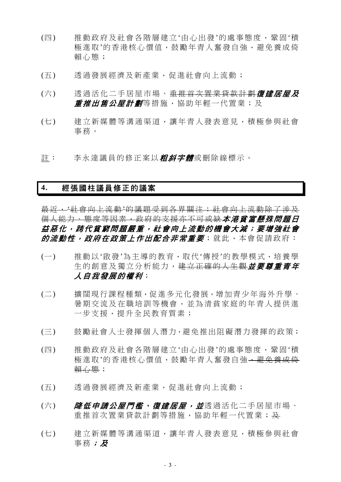- (四) 推動政府及社會各階層建立'由心出發'的處事態度,鞏固'積 極淮取'的香港核心價值,鼓勵年青人奮發自強,避免養成倚 賴心態;
- (五) 透過發展經濟及新產業,促進社會向上流動;
- (六) 透過活化二手居屋市場、<del>重推首次置業貸款計劃</del>復建居屋及 *重推出售公屋計劃*等措施,協助年輕一代置業;及
- (七) 建立新媒體等溝通渠道,讓年青人發表意見,積極參與社會 事務。
- 註: 李永達議員的修正案以*粗斜字體*或刪除線標示。

# **4.** 經張國柱議員修正的議案

最近,'社會向上流動'的議題受到各界關注;社會向上流動除了涉及 個人能力、態度等因素,政府的支援亦不可或缺本港貧富懸殊問題日 益惡化,跨代貧窮問題嚴重,社會向上流動的機會大減;要增強社會 的流動性,政府在政策上作出配合非常重要;就此,本會促請政府:

- (一) 推動以'啟發'為主導的教育,取代'傳授'的教學模式,培養學 生的創意及獨立分析能力,建立正確的人生觀並要尊重青年 人自我發展的權利;
- (二) 擴闊現行課程種類,促進多元化發展,增加青少年海外升學、 暑期交流及在職培訓等機會,並為清貧家庭的年青人提供進 一步支援,提升全民教育質素;
- (三) 鼓勵社會人士發揮個人潛力,避免推出阻礙潛力發揮的政策;
- (四) 推動政府及社會各階層建立'由心出發'的處事態度,鞏固'積 極進取'的香港核心價值,鼓勵年青人奮發自強,避免養成倚 賴心態;
- (五) 透過發展經濟及新產業,促進社會向上流動;
- (六) *降低申請公屋門檻、復建居屋,並*透過活化二手居屋市場、 重推首次置業貸款計劃等措施,協助年輕一代置業;及
- (七) 建立新媒體等溝通渠道,讓年青人發表意見,積極參與社會 事務;及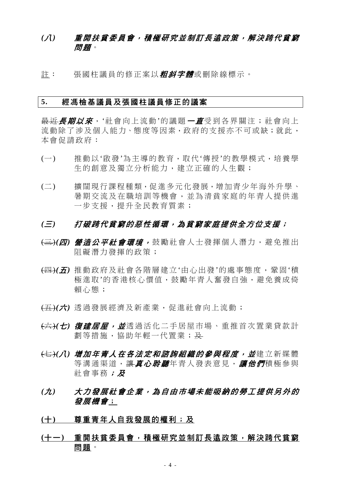# *(*八*)* 重開扶貧委員會,積極研究並制訂長遠政策,解決跨代貧窮 問題。

註: 張國柱議員的修正案以*粗斜字體*或刪除線標示。

#### **5.** 經馮檢基議員及張國柱議員修正的議案

最近*長期以來*, '社會向上流動'的議題*一直*受到各界關注; 社會向上 流動除了涉及個人能力、態度等因素,政府的支援亦不可或缺;就此, 本會促請政府:

- (一) 推動以'啟發'為主導的教育,取代'傳授'的教學模式,培養學 生的創意及獨立分析能力,建立正確的人生觀;
- (二) 擴闊現行課程種類,促進多元化發展,增加青少年海外升學、 暑期交流及在職培訓等機會,並為清貧家庭的年青人提供進 一步支援,提升全民教育質素;

- (三)*(*四*)* 營造公平社會環境, 鼓勵社會人士發揮個人潛力,避免推出 阻礙潛力發揮的政策;
- (四)*(*五*)* 推動政府及社會各階層建立'由心出發'的處事態度,鞏固'積 極進取'的香港核心價值,鼓勵年青人奮發自強,避免養成倚 賴心態;
- (五)*(*六*)* 透過發展經濟及新產業,促進社會向上流動;
- (六)*(*七*)* 復建居屋,並透過活化二手居屋市場、重推首次置業貸款計 劃等措施,協助年輕一代置業;及
- (七)*(*八*)* 增加年青人在各法定和諮詢組織的參與程度,並建立新媒體 等溝通渠道,讓真心*聆聽*年青人發表意見,讓他們積極參與 社會事務;及
- *(*九*)* 大力發展社會企業,為自由市場未能吸納的勞工提供另外的 發展機會;
- **(**十**)** 尊重青年人自我發展的權利;及
- **(**十一**)** 重開扶貧委員會,積極研究並制訂長遠政策,解決跨代貧窮 問題。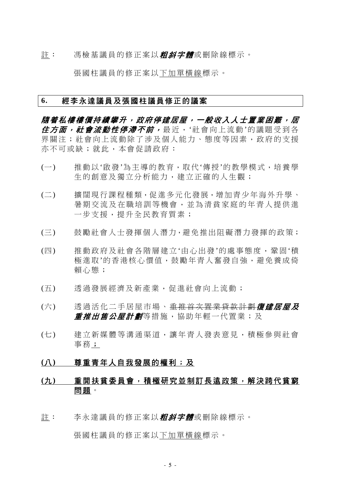註: 馮檢基議員的修正案以**粗斜字體**或刪除線標示。

張國柱議員的修正案以下加單橫線標示。

### **6.** 經李永達議員及張國柱議員修正的議案

**隨着私樓樓價持續攀升,政府停建居屋,一般收入人士置業困難,居** 分方面, 社會流動性停滯不前, 最近, '社會向上流動'的議題受到各 界關注;社會向上流動除了涉及個人能力、態度等因素,政府的支援 亦不可或缺;就此,本會促請政府:

- (一) 推動以'啟發'為主導的教育,取代'傳授'的教學模式,培養學 生的創意及獨立分析能力,建立正確的人生觀;
- (二) 擴闊現行課程種類,促進多元化發展,增加青少年海外升學、 暑期交流及在職培訓等機會,並為清貧家庭的年青人提供進 一步支援,提升全民教育質素;
- (三) 鼓勵社會人士發揮個人潛力,避免推出阻礙潛力發揮的政策;
- (四) 推動政府及社會各階層建立'由心出發'的處事態度,鞏固'積 極進取'的香港核心價值,鼓勵年青人奮發自強,避免養成倚 賴心態;
- (五) 透過發展經濟及新產業,促進社會向上流動;
- (六) 透過活化二手居屋市場、<del>重推首次置業貸款計劃**復建居屋及**</del> *重推出售公屋計劃*等措施,協助年輕一代置業;及
- (七) 建立新媒體等溝通渠道,讓年青人發表意見,積極參與社會 事務;

### **(**八**)** 尊重青年人自我發展的權利;及

# **(**九**)** 重開扶貧委員會,積極研究並制訂長遠政策,解決跨代貧窮 問題。

註: 李永達議員的修正案以*粗斜字體*或刪除線標示。

張國柱議員的修正案以下加單橫線標示。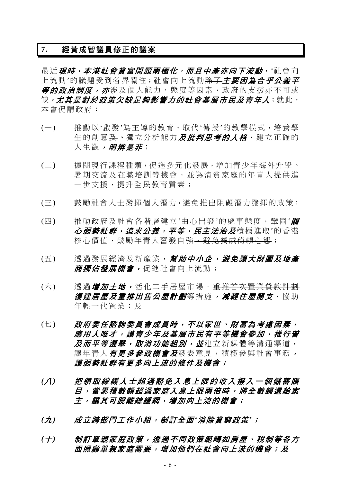# **7.** 經黃成智議員修正的議案

長近現時,本港社會貧富問題兩極化,而且中產亦向下流動, '社會向 上流動'的議題受到各界關注;社會向上流動<del>除了</del>主要因為合乎公義平 **等的政治制度,亦**涉及個人能力、態度等因素,政府的支援亦不可或 缺,尤其是對於政策欠缺足夠影響力的社會基層市民及青年人;就此, 本會促請政府:

- (一) 推動以'啟發'為主導的教育,取代'傳授'的教學模式,培養學 生的創意及、獨立分析能力及批判思考的人格,建立正確的 人生觀*,明辨是非*;
- (二) 擴闊現行課程種類,促進多元化發展,增加青少年海外升學、 暑期交流及在職培訓等機會,並為清貧家庭的年青人提供進 一步支援,提升全民教育質素;
- (三) 鼓勵社會人士發揮個人潛力,避免推出阻礙潛力發揮的政策;
- (四) 推動政府及社會各階層建立'由心出發'的處事態度,鞏固'**關** 心弱勢社群,追求公義,平等,民主法治及積極進取'的香港 核心價值,鼓勵年青人奮發自強,<del>避免養成倚賴心態</del>;
- (五) 透過發展經濟及新產業, 幫助中小企, 避免讓大財團及地產 商獨佔發展機會,促進社會向上流動;
- (六) 赛過*增加土地,*活化二手居屋市場、<del>重推首次置業貸款計劃</del> 復建居屋及重推出售公屋計劃等措施,減輕住屋開支,協助 年輕一代置業; 及
- (七) 政府委任諮詢委員會成員時,不以家世、財富為考慮因素, 應用人唯才,讓青少年及基層市民有平等機會參加,推行普 及而平等選舉, 取消功能組別, 並建立新媒體等溝通渠道, 讓年青人*有更多參政機會及*發表意見,積極參與社會事務, 讓弱勢社群有更多向上流的條件及機會;
- *(*八*)* 把領取綜緩人士超過豁免入息上限的收入撥入一個儲蓄賬 目,當累積數額超過家庭入息上限兩倍時,將全數歸還給案 主,讓其可脫離綜緩網,增加向上流的機會;
- *(*九*)* 成立跨部門工作小組,制訂全面*'*消除貧窮政策*'*;
- (十) 制訂單親家庭政策,透過不同政策範疇如房屋、稅制等各方 面照顧單親家庭需要,增加他們在社會向上流的機會;及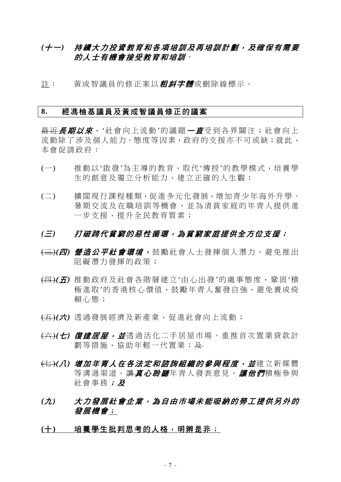# (十一) 持續大力投資教育和各項培訓及再培訓計劃,及確保有需要 的人士有機會接受教育和培訓。

註: 黃成智議員的修正案以*粗斜字體*或刪除線標示。

### **8.** 經馮檢基議員及黃成智議員修正的議案

最近*長期以來*, '社會向上流動'的議題 一直受到各界關注; 社會向上 流動除了涉及個人能力、態度等因素,政府的支援亦不可或缺;就此, 本會促請政府:

- (一) 推動以'啟發'為主導的教育,取代'傳授'的教學模式,培養學 生的創意及獨立分析能力,建立正確的人生觀;
- (二) 擴闊現行課程種類,促進多元化發展,增加青少年海外升學、 暑期交流及在職培訓等機會,並為清貧家庭的年青人提供進 一步支援,提升全民教育質素;

- (三)*(*四*)* 營造公平社會環境, 鼓勵社會人士發揮個人潛力,避免推出 阻礙潛力發揮的政策;
- (四)*(*五*)* 推動政府及社會各階層建立'由心出發'的處事態度,鞏固'積 極進取'的香港核心價值,鼓勵年青人奮發自強,避免養成倚 賴心態;
- (五)*(*六*)* 透過發展經濟及新產業,促進社會向上流動;
- (六)*(*七*)* 復建居屋,並透過活化二手居屋市場、重推首次置業貸款計 劃等措施,協助年輕一代置業;及
- <del>(七)</del>(*八) 增加年青人在各法定和諮詢組織的參與程度,並*建立新媒體 等溝通渠道,讓*真心聆聽*年青人發表意見,讓他們積極參與 社會事務;及
- *(*九*)* 大力發展社會企業,為自由市場未能吸納的勞工提供另外的 發展機會;
- **(**十**)** 培養學生批判思考的人格,明辨是非;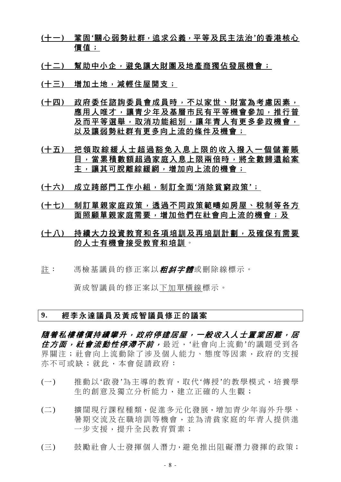- **(**十一**)** 鞏固**'**關心弱勢社群,追求公義,平等及民主法治**'**的香港核心 價值;
- **(**十二**)** 幫助中小企,避免讓大財團及地產商獨佔發展機會;
- **(**十三**)** 增加土地,減輕住屋開支;
- **(**十四**)** 政府委任諮詢委員會成員時,不以家世、財富為考慮因素, 應用人唯才,讓青少年及基層市民有平等機會參加,推行普 及而平等選舉,取消功能組別,讓年青人有更多參政機會, 以及讓弱勢社群有更多向上流的條件及機會;
- **(**十五**)** 把領取綜緩人士超過豁免入息上限的收入撥入一個儲蓄賬 目,當累積數額超過家庭入息上限兩倍時,將全數歸還給案 主,讓其可脫離綜緩網,增加向上流的機會;
- **(**十六**)** 成立跨部門工作小組,制訂全面**'**消除貧窮政策**'**;
- **(**十七**)** 制訂單親家庭政策,透過不同政策範疇如房屋、稅制等各方 面照顧單親家庭需要,增加他們在社會向上流的機會;及
- **(**十八**)** 持續大力投資教育和各項培訓及再培訓計劃,及確保有需要 的人士有機會接受教育和培訓。
- 註: 馮檢基議員的修正案以*粗斜字體***或刪除線標示。**

黃成智議員的修正案以下加單橫線標示。

### **9.** 經李永達議員及黃成智議員修正的議案

隨着私樓樓價持續攀升,政府停建居屋,一般收入人士置業困難,居 住方面, 社會流動性停滯不前, 最近, '社會向上流動'的議題受到各 界關注;社會向上流動除了涉及個人能力、態度等因素,政府的支援 亦不可或缺;就此,本會促請政府:

- (一) 推動以'啟發'為主導的教育,取代'傳授'的教學模式,培養學 生的創意及獨立分析能力,建立正確的人生觀;
- (二) 擴闊現行課程種類,促進多元化發展,增加青少年海外升學、 暑期交流及在職培訓等機會,並為清貧家庭的年青人提供進 一步支援,提升全民教育質素;
- (三) 鼓勵社會人士發揮個人潛力,避免推出阻礙潛力發揮的政策;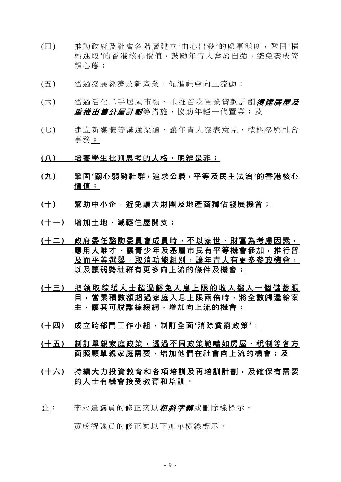- (四) 推動政府及社會各階層建立'由心出發'的處事態度,鞏固'積 極進取'的香港核心價值,鼓勵年青人奮發自強,避免養成倚 賴心態;
- (五) 透過發展經濟及新產業,促進社會向上流動;
- (六) 透過活化二手居屋市場、<del>重推首次置業貸款計劃</del>復建居屋及 **重推出售公屋計劃**等措施,協助年輕一代置業;及
- (七) 建立新媒體等溝通渠道,讓年青人發表意見,積極參與社會 事務;
- **(**八**)** 培養學生批判思考的人格,明辨是非;
- **(**九**)** 鞏固**'**關心弱勢社群,追求公義,平等及民主法治**'**的香港核心 價值;
- (十) 幫助中小企,避免讓大財團及地產商獨佔發展機會;
- **(**十一**)** 增加土地,減輕住屋開支;
- **(**十二**)** 政府委任諮詢委員會成員時,不以家世、財富為考慮因素, 應用人唯才,讓青少年及基層市民有平等機會參加,推行普 及而平等選舉,取消功能組別,讓年青人有更多參政機會, 以及讓弱勢社群有更多向上流的條件及機會;
- **(**十三**)** 把領取綜緩人士超過豁免入息上限的收入撥入一個儲蓄賬 目,當累積數額超過家庭入息上限兩倍時,將全數歸還給案 主,讓其可脫離綜緩網,增加向上流的機會;
- **(**十四**)** 成立跨部門工作小組,制訂全面**'**消除貧窮政策**'**;
- **(**十五**)** 制訂單親家庭政策,透過不同政策範疇如房屋、稅制等各方 面照顧單親家庭需要,增加他們在社會向上流的機會;及
- **(**十六**)** 持續大力投資教育和各項培訓及再培訓計劃,及確保有需要 的人士有機會接受教育和培訓。
- 註: 李永達議員的修正案以*粗斜字體***或刪除線標示**。

黃成智議員的修正案以下加單橫線標示。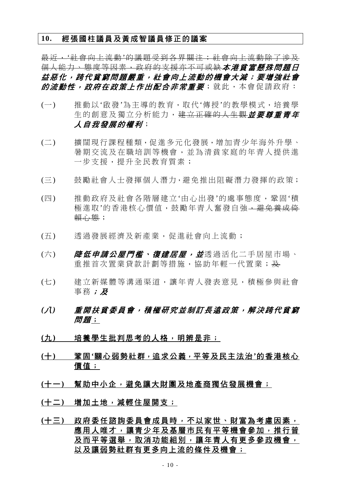### **10.** 經張國柱議員及黃成智議員修正的議案

最近,'社會向上流動'的議題受到各界關注;社會向上流動除了涉及 個人能力、態度等因素,政府的支援亦不可或缺本港貧富懸殊問題日 益惡化,跨代貧窮問題嚴重,社會向上流動的機會大減;要增強社會 的流動性,政府在政策上作出配合非常重要;就此,本會促請政府:

- (一) 推動以'啟發'為主導的教育,取代'傳授'的教學模式,培養學 生的創意及獨立分析能力,建立正確的人生觀が要尊重書年 人自我發展的權利;
- (二) 擴闊現行課程種類,促進多元化發展,增加青少年海外升學、 暑期交流及在職培訓等機會,並為清貧家庭的年青人提供進 一步支援,提升全民教育質素;
- (三) 鼓勵社會人士發揮個人潛力,避免推出阻礙潛力發揮的政策;
- (四) 推動政府及社會各階層建立'由心出發'的處事態度,鞏固'積 極進取'的香港核心價值,鼓勵年青人奮發自強,避免養成倚 賴心態;
- (五) 透過發展經濟及新產業,促進社會向上流動;
- (六) *降低申請公屋門檻、復建居屋,並*透過活化二手居屋市場、 重推首次置業貸款計劃等措施,協助年輕一代置業;及
- (七) 建立新媒體等溝通渠道,讓年青人發表意見,積極參與社會 事務;及
- *(*八*)* 重開扶貧委員會,積極研究並制訂長遠政策,解決跨代貧窮 問題;
- **(**九**)** 培養學生批判思考的人格,明辨是非;
- **(**十**)** 鞏固**'**關心弱勢社群,追求公義,平等及民主法治**'**的香港核心 價值;
- (十一) 幫助中小企,避免讓大財團及地產商獨佔發展機會;
- **(**十二**)** 增加土地,減輕住屋開支;
- **(**十三**)** 政府委任諮詢委員會成員時,不以家世、財富為考慮因素, 應用人唯才,讓青少年及基層市民有平等機會參加,推行普 及而平等選舉,取消功能組別,讓年青人有更多參政機會, 以及讓弱勢社群有更多向上流的條件及機會;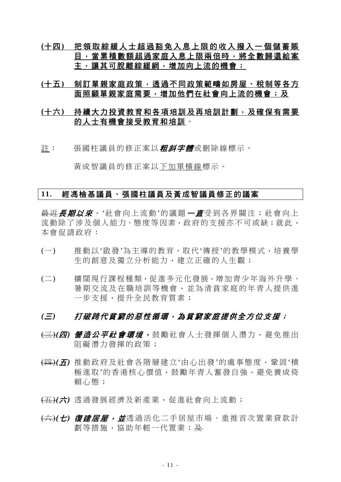- **(**十四**)** 把領取綜緩人士超過豁免入息上限的收入撥入一個儲蓄賬 目,當累積數額超過家庭入息上限兩倍時,將全數歸還給案 主,讓其可脫離綜緩網,增加向上流的機會;
- **(**十五**)** 制訂單親家庭政策,透過不同政策範疇如房屋、稅制等各方 面照顧單親家庭需要,增加他們在社會向上流的機會;及

# **(**十六**)** 持續大力投資教育和各項培訓及再培訓計劃,及確保有需要 的人士有機會接受教育和培訓。

註: 張國柱議員的修正案以*粗斜字體*或刪除線標示。

黃成智議員的修正案以下加單橫線標示。

## **11.** 經馮檢基議員、張國柱議員及黃成智議員修正的議案

最近*長期以來*, '社會向上流動'的議題 一*直*受到各界關注; 社會向上 流動除了涉及個人能力、態度等因素,政府的支援亦不可或缺;就此, 本會促請政府:

- (一) 推動以'啟發'為主導的教育,取代'傳授'的教學模式,培養學 生的創意及獨立分析能力,建立正確的人生觀;
- (二) 擴闊現行課程種類,促進多元化發展,增加青少年海外升學、 暑期交流及在職培訓等機會,並為清貧家庭的年青人提供進 一步支援,提升全民教育質素;

- (三)*(*四*)* 營造公平社會環境, 鼓勵社會人士發揮個人潛力,避免推出 阻礙潛力發揮的政策;
- (四)*(*五*)* 推動政府及社會各階層建立'由心出發'的處事態度,鞏固'積 極進取'的香港核心價值,鼓勵年青人奮發自強,避免養成倚 賴心態;
- (五)*(*六*)* 透過發展經濟及新產業,促進社會向上流動;
- (六)*(*七*)* 復建居屋,並透過活化二手居屋市場、重推首次置業貸款計 劃等措施,協助年輕一代置業;及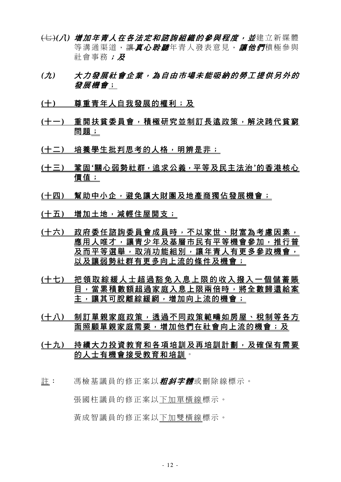- <del>(七)</del>(*八) 增加年青人在各法定和諮詢組織的參與程度,並*建立新媒體 等溝涌渠道, 讓*真心聆聽*年青人發表意見, *讓他們*積極參與 社會事務;及
- *(*九*)* 大力發展社會企業,為自由市場未能吸納的勞工提供另外的 發展機會;
- **(**十**)** 尊重青年人自我發展的權利;及
- **(**十一**)** 重開扶貧委員會,積極研究並制訂長遠政策,解決跨代貧窮 問題;
- **(**十二**)** 培養學生批判思考的人格,明辨是非;
- **(**十三**)** 鞏固**'**關心弱勢社群,追求公義,平等及民主法治**'**的香港核心 價值;
- **(**十四**)** 幫助中小企,避免讓大財團及地產商獨佔發展機會;
- **(**十五**)** 增加土地,減輕住屋開支;
- **(**十六**)** 政府委任諮詢委員會成員時,不以家世、財富為考慮因素, 應用人唯才,讓青少年及基層市民有平等機會參加,推行普 及而平等選舉,取消功能組別,讓年青人有更多參政機會, 以及讓弱勢社群有更多向上流的條件及機會;
- **(**十七**)** 把領取綜緩人士超過豁免入息上限的收入撥入一個儲蓄賬 目,當累積數額超過家庭入息上限兩倍時,將全數歸還給案 主,讓其可脫離綜緩網,增加向上流的機會;
- **(**十八**)** 制訂單親家庭政策,透過不同政策範疇如房屋、稅制等各方 面照顧單親家庭需要,增加他們在社會向上流的機會;及
- **(**十九**)** 持續大力投資教育和各項培訓及再培訓計劃,及確保有需要 的人士有機會接受教育和培訓。
- 註: 馮檢基議員的修正案以*粗斜字體***或刪除線標示。**

張國柱議員的修正案以下加單橫線標示。

黃成智議員的修正案以下加雙橫線標示。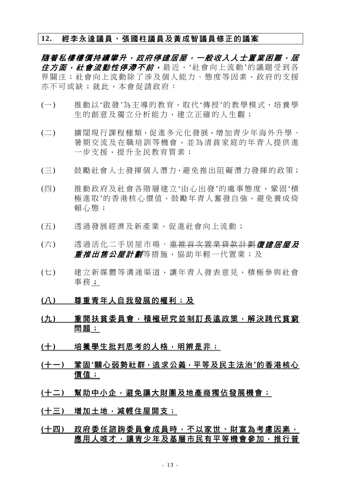# **12.** 經李永達議員、張國柱議員及黃成智議員修正的議案

隨着私樓樓價持續攀升,政府停建居屋,一般收入人士置業困難,居 住方面, 社會流動性停滯不前, 最近, '社會向上流動'的議題受到各 界關注;社會向上流動除了涉及個人能力、態度等因素,政府的支援 亦不可或缺;就此,本會促請政府:

- (一) 推動以'啟發'為主導的教育,取代'傳授'的教學模式,培養學 生的創意及獨立分析能力,建立正確的人生觀;
- (二) 擴闊現行課程種類,促進多元化發展,增加青少年海外升學、 暑期交流及在職培訓等機會,並為清貧家庭的年青人提供進 一步支援,提升全民教育質素;
- (三) 鼓勵社會人士發揮個人潛力,避免推出阻礙潛力發揮的政策;
- (四) 推動政府及社會各階層建立'由心出發'的處事態度,鞏固'積 極淮取'的香港核心價值,鼓勵年青人奮發自強,灌免養成倚 賴心態;
- (五) 透過發展經濟及新產業,促進社會向上流動;
- (六) 透過活化二手居屋市場、<del>重推首次置業貸款計劃</del>復建居屋及 **重推出售公屋計劃**等措施,協助年輕一代置業;及
- (七) 建立新媒體等溝通渠道,讓年青人發表意見,積極參與社會 事務;
- **(**八**)** 尊重青年人自我發展的權利;及
- **(**九**)** 重開扶貧委員會,積極研究並制訂長遠政策,解決跨代貧窮 問題;
- (十) 培養學生批判思考的人格,明辨是非;
- **(**十一**)** 鞏固**'**關心弱勢社群,追求公義,平等及民主法治**'**的香港核心 價值;
- **(**十二**)** 幫助中小企,避免讓大財團及地產商獨佔發展機會;
- **(**十三**)** 增加土地,減輕住屋開支;
- **(**十四**)** 政府委任諮詢委員會成員時,不以家世、財富為考慮因素, 應用人唯才,讓青少年及基層市民有平等機會參加,推行普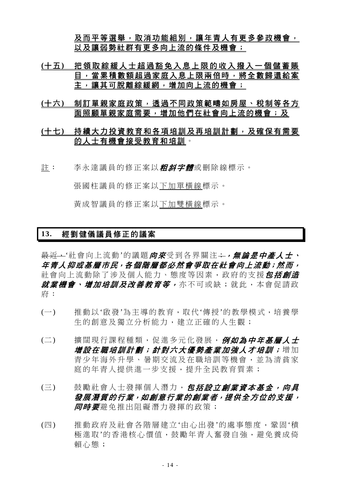及而平等選舉,取消功能組別,讓年青人有更多參政機會, 以及讓弱勢社群有更多向上流的條件及機會;

- **(**十五**)** 把領取綜緩人士超過豁免入息上限的收入撥入一個儲蓄賬 目,當累積數額超過家庭入息上限兩倍時,將全數歸還給案 主,讓其可脫離綜緩網,增加向上流的機會;
- **(**十六**)** 制訂單親家庭政策,透過不同政策範疇如房屋、稅制等各方 面照顧單親家庭需要,增加他們在社會向上流的機會;及

# **(**十七**)** 持續大力投資教育和各項培訓及再培訓計劃,及確保有需要 的人士有機會接受教育和培訓。

註: 李永達議員的修正案以*粗斜字體***或刪除線標示**。

張國柱議員的修正案以下加單橫線標示。

黃成智議員的修正案以下加雙橫線標示。

# **13.** 經劉健儀議員修正的議案

最近,'社會向上流動'的議題向來受到各界關注;,,無論是中產人士、 年青人抑或基層市民,各個階層都必然會爭取在社會向上流動;然而, 社會向上流動除了涉及個人能力、態度等因素, 政府的支援*包括創浩* 就業機會、增加培訓及改善教育等,亦不可或缺;就此,本會促請政 府:

- (一) 推動以'啟發'為主導的教育,取代'傳授'的教學模式,培養學 生的創意及獨立分析能力,建立正確的人生觀;
- (二) 擴闊現行課程種類,促進多元化發展,例如為中年基層人士 增設在職培訓計劃;針對六大優勢產業加強人才培訓;增加 青少年海外升學、暑期交流及在職培訓等機會,並為清貧家 庭的年青人提供進一步支援,提升全民教育質素;
- (三) 鼓勵社會人士發揮個人潛力, 包括設立創業資本基金, 向具 發展潛質的行業,如創意行業的創業者,提供全方位的支援, **同時要**避免推出阻礙潛力發揮的政策;
- (四) 推動政府及社會各階層建立'由心出發'的處事態度,鞏固'積 極進取'的香港核心價值,鼓勵年青人奮發自強,避免養成倚 賴心態;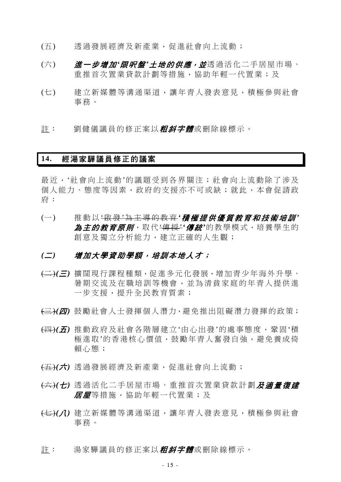- (五) 透過發展經濟及新產業,促進社會向上流動;
- (六) **道一步增加'***限呎盤'土地的供應,並***透過活化二手居屋市場、** 重推首次置業貸款計劃等措施,協助年輕一代置業;及
- (七) 建立新媒體等溝通渠道,讓年青人發表意見,積極參與社會 事務。
- 註: 劉健儀議員的修正案以*粗斜字體*或刪除線標示。

## **14.** 經湯家驊議員修正的議案

最近,'社會向上流動'的議題受到各界關注;社會向上流動除了涉及 個人能力、態度等因素,政府的支援亦不可或缺;就此,本會促請政 府:

(一) 推動以 '啟 發 '為主導的教育 *'*積極提供優質教育和技術培訓 *'* 為*主的教育原則*,取代<del>'傳授'</del>'*傳統*'的教學模式,培養學生的 創意及獨立分析能力,建立正確的人生觀;

### *(*二*)* 增加大學資助學額,培訓本地人才;

- (二)*(*三*)* 擴闊現行課程種類,促進多元化發展,增加青少年海外升學、 暑期交流及在職培訓等機會,並為清貧家庭的年青人提供進 一步支援,提升全民教育質素;
- (三)*(*四*)* 鼓勵社會人士發揮個人潛力,避免推出阻礙潛力發揮的政策;
- (四)*(*五*)* 推動政府及社會各階層建立'由心出發'的處事態度,鞏固'積 極淮取'的香港核心價值,鼓勵年青人奮發自強,灌免養成倚 賴心態;
- (五)*(*六*)* 透過發展經濟及新產業,促進社會向上流動;
- (六)*(*七*)* 透過活化二手居屋市場、重推首次置業貸款計劃及適量復建 **居屋**等措施,協助年輕一代置業;及
- (七)(*J*) 建立新媒體等溝通渠道,讓年青人發表意見,積極參與社會 事務。
- 註: 湯家驊議員的修正案以**粗斜字體**或刪除線標示。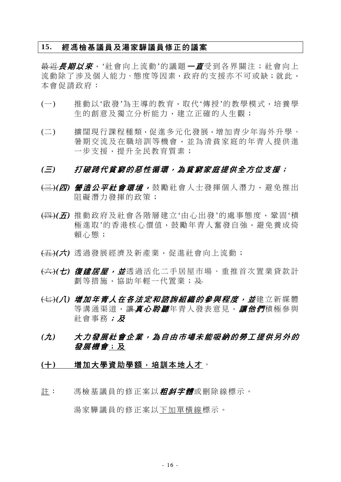## **15.** 經馮檢基議員及湯家驊議員修正的議案

最近*長期以來*, '社會向上流動'的議題 一*直*受到各界關注;社會向上 流動除了涉及個人能力、態度等因素,政府的支援亦不可或缺;就此, 本會促請政府:

- (一) 推動以'啟發'為主導的教育,取代'傳授'的教學模式,培養學 生的創意及獨立分析能力,建立正確的人生觀;
- (二) 擴闊現行課程種類,促進多元化發展,增加青少年海外升學、 暑期交流及在職培訓等機會,並為清貧家庭的年青人提供進 一步支援,提升全民教育質素;

# *(*三*)* 打破跨代貧窮的惡性循環,為貧窮家庭提供全方位支援;

- (三)*(*四*)* 營造公平社會環境, 鼓勵社會人士發揮個人潛力,避免推出 阻礙潛力發揮的政策;
- (四)*(*五*)* 推動政府及社會各階層建立'由心出發'的處事態度,鞏固'積 極進取'的香港核心價值,鼓勵年青人奮發自強,避免養成倚 賴心態;
- (五)*(*六*)* 透過發展經濟及新產業,促進社會向上流動;
- (六)*(*七*)* 復建居屋,並透過活化二手居屋市場、重推首次置業貸款計 劃等措施,協助年輕一代置業;及
- (七)*(*八*)* 增加年青人在各法定和諮詢組織的參與程度,並建立新媒體 等溝通渠道,讓*真心聆聽*年青人發表意見,讓他們積極參與 社會事務;及
- *(*九*)* 大力發展社會企業,為自由市場未能吸納的勞工提供另外的 發展機會;及
- (十) 增加大學資助學額,培訓本地人才。
- 註: 馮檢基議員的修正案以*粗斜字體***或刪除線標示。**

湯家驊議員的修正案以下加單橫線標示。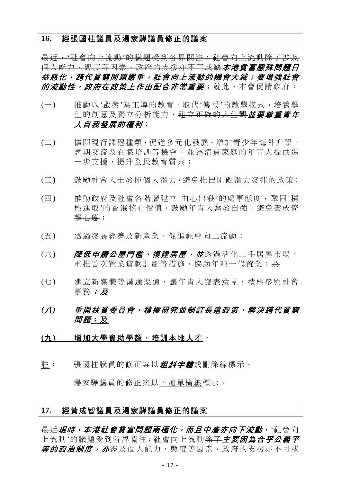### **16.** 經張國柱議員及湯家驊議員修正的議案

最近,'社會向上流動'的議題受到各界關注;社會向上流動除了涉及 個人能力、態度等因素,政府的支援亦不可或缺本港貧富懸殊問題日 益惡化,跨代貧窮問題嚴重,社會向上流動的機會大減;要增強社會 的流動性,政府在政策上作出配合非常重要;就此,本會促請政府:

- (一) 推動以'啟發'為主導的教育,取代'傳授'的教學模式,培養學 生的創意及獨立分析能力,建立正確的人生觀が要尊重書年 人自我發展的權利;
- (二) 擴闊現行課程種類,促進多元化發展,增加青少年海外升學、 暑期交流及在職培訓等機會,並為清貧家庭的年青人提供進 一步支援,提升全民教育質素;
- (三) 鼓勵社會人士發揮個人潛力,避免推出阻礙潛力發揮的政策;
- (四) 推動政府及社會各階層建立'由心出發'的處事態度,鞏固'積 極進取'的香港核心價值,鼓勵年青人奮發自強,避免養成倚 賴心態;
- (五) 透過發展經濟及新產業,促進社會向上流動;
- (六) *降低申請公屋門檻、復建居屋,並*透過活化二手居屋市場、 重推首次置業貸款計劃等措施,協助年輕一代置業;及
- (七) 建立新媒體等溝通渠道,讓年青人發表意見,積極參與社會 事務;及
- *(*八*)* 重開扶貧委員會,積極研究並制訂長遠政策,解決跨代貧窮 *問題*;及
- (九) 增加大學資助學額,培訓本地人才。
- 註: 張國柱議員的修正案以**粗斜字體**或刪除線標示。

湯家驊議員的修正案以下加單橫線標示。

### **17.** 經黃成智議員及湯家驊議員修正的議案

長近現時,本港社會貧富問題兩極化,而且中產亦向下流動, '社會向 上流動'的議題受到各界關注;社會向上流動<del>除了</del>主要因為合乎公義平 *等的政治制度,亦***涉及個人能力、態度等因素,政府的支援亦不可或**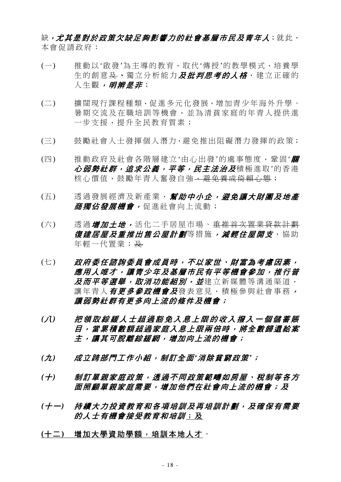缺*,尤其是對於政策欠缺足夠影響力的社會基層市民及青年人*;就此, 本會促請政府:

- (一) 推動以'啟發'為主導的教育,取代'傳授'的教學模式,培養學 生的創意及、獨立分析能力及批判思考的人格,建立正確的 人生觀, *明辨是非***;**
- (二) 擴闊現行課程種類,促進多元化發展,增加青少年海外升學、 暑期交流及在職培訓等機會,並為清貧家庭的年青人提供進 一步支援,提升全民教育質素;
- (三) 鼓勵社會人士發揮個人潛力,避免推出阻礙潛力發揮的政策;
- (四) 推動政府及社會各階層建立'由心出發'的處事態度,鞏固'**關** 心弱勢社群,追求公義,平等,民主法治及積極進取'的香港 核心價值,鼓勵年青人奮發自強,<del>避免養成倚賴心態</del>;
- (五) 透過發展經濟及新產業,*幫助中小企,避免讓大財團及地產* 商獨佔發展機會,促進社會向上流動;
- (六) 诱渦增加ナ地,活化二手居屋市場、重推首次置業貸款計劃 復建居屋及重推出售公屋計劃等措施,减輕住屋開支,協助 年輕一代置業;及
- (七) 政府委任諮詢委員會成員時,不以家世、財富為考慮因素, 應用人唯才,讓青少年及基層市民有平等機會參加,推行普 及而平等選舉, 取消功能組別, 並建立新媒體等溝通渠道, 讓年青人*有更多參政機會及*發表意見,積極參與社會事務, 讓弱勢社群有更多向上流的條件及機會;
- *(*八*)* 把領取綜緩人士超過豁免入息上限的收入撥入一個儲蓄賬 目,當累積數額超過家庭入息上限兩倍時,將全數歸還給案 主,讓其可脫離綜緩網,增加向上流的機會;
- *(*九*)* 成立跨部門工作小組,制訂全面*'*消除貧窮政策*'*;
- *(*十*)* 制訂單親家庭政策,透過不同政策範疇如房屋、稅制等各方 面照顧單親家庭需要,增加他們在社會向上流的機會;及
- (十一) 持續大力投資教育和各項培訓及再培訓計劃,及確保有需要 *的人士有機會接受教育和培訓*;及
- **(**十二**)** 增加大學資助學額,培訓本地人才。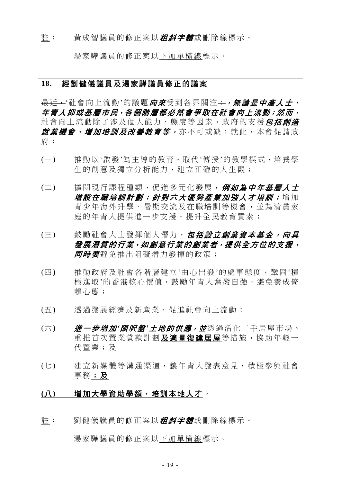#### 註: 黃成智議員的修正案以*粗斜字體*或刪除線標示。

湯家驊議員的修正案以下加單橫線標示。

## **18.** 經劉健儀議員及湯家驊議員修正的議案

<del>最近,</del>'社會向上流動'的議題*向來*受到各界關注<del>;</del>, 無論*是中產人士*、 年青人抑或基層市民,各個階層都必然會爭取在社會向上流動;然而, 社會向上流動除了涉及個人能力、熊度等因素,政府的支援*包括創造* 就業機會、增加培訓及改善教育等,亦不可或缺;就此,本會促請政 府:

- (一) 推動以'啟發'為主導的教育,取代'傳授'的教學模式,培養學 生的創意及獨立分析能力,建立正確的人生觀;
- (二) 擴闊現行課程種類,促進多元化發展,例如為中年基層人士 增設在職培訓計劃;針對六大優勢產業加強人才培訓;增加 青少年海外升學、暑期交流及在職培訓等機會,並為清貧家 庭的年青人提供進一步支援,提升全民教育質素;
- (三) 鼓勵社會人士發揮個人潛力,包括設立創業資本基金,向具 發展潛質的行業,如創意行業的創業者,提供全方位的支援, 后后要避免推出阻礙潛力發揮的政策;
- (四) 推動政府及社會各階層建立'由心出發'的處事態度,鞏固'積 極進取'的香港核心價值,鼓勵年青人奮發自強,避免養成倚 賴心態;
- (五) 透過發展經濟及新產業,促進社會向上流動;
- (六) **道一步增加'***限呎盤'土地的供應,並***透過活化二手居屋市場、** 重推首次置業貸款計劃及適量復建居屋等措施,協助年輕一 代置業;及
- (七) 建立新媒體等溝通渠道,讓年青人發表意見,積極參與社會 事務;及

### (八) 増加大學資助學額,培訓本地人才。

註: 劉健儀議員的修正案以**粗斜字體**或刪除線標示。

湯家驊議員的修正案以下加單橫線標示。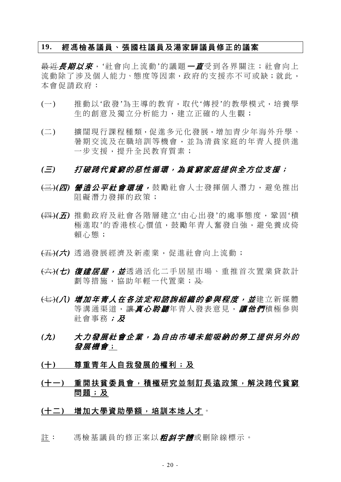## **19.** 經馮檢基議員、張國柱議員及湯家驊議員修正的議案

最近*長期以來*, '社會向上流動'的議題 一*直*受到各界關注;社會向上 流動除了涉及個人能力、態度等因素,政府的支援亦不可或缺;就此, 本會促請政府:

- (一) 推動以'啟發'為主導的教育,取代'傳授'的教學模式,培養學 生的創意及獨立分析能力,建立正確的人生觀;
- (二) 擴闊現行課程種類,促進多元化發展,增加青少年海外升學、 暑期交流及在職培訓等機會,並為清貧家庭的年青人提供進 一步支援,提升全民教育質素;

# *(*三*)* 打破跨代貧窮的惡性循環,為貧窮家庭提供全方位支援;

- (三)*(*四*)* 營造公平社會環境, 鼓勵社會人士發揮個人潛力,避免推出 阻礙潛力發揮的政策;
- (四)*(*五*)* 推動政府及社會各階層建立'由心出發'的處事態度,鞏固'積 極進取'的香港核心價值,鼓勵年青人奮發自強,避免養成倚 賴心態;
- (五)*(*六*)* 透過發展經濟及新產業,促進社會向上流動;
- (六)*(*七*)* 復建居屋,並透過活化二手居屋市場、重推首次置業貸款計 劃等措施,協助年輕一代置業;及
- <del>(七)</del>( *八) 增加年青人在各法定和諮詢組織的參與程度,並建立新媒體* 等溝通渠道,讓*真心聆聽*年青人發表意見,讓他們積極參與 社會事務;及
- *(*九*)* 大力發展社會企業,為自由市場未能吸納的勞工提供另外的 發展機會;
- **(**十**)** 尊重青年人自我發展的權利;及
- **(**十一**)** 重開扶貧委員會,積極研究並制訂長遠政策,解決跨代貧窮 問題;及

### **(**十二**)** 增加大學資助學額,培訓本地人才。

註: 馮檢基議員的修正案以*粗斜字體***或刪除線標示**。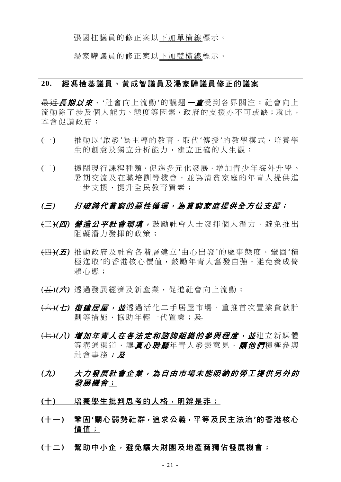張國柱議員的修正案以下加單橫線標示。

湯家驊議員的修正案以下加雙橫線標示。

### **20.** 經馮檢基議員、黃成智議員及湯家驊議員修正的議案

最近*長期以來*,'社會向上流動'的議題*一直*受到各界關注;社會向上 流動除了涉及個人能力、態度等因素,政府的支援亦不可或缺;就此, 本會促請政府:

- (一) 推動以'啟發'為主導的教育,取代'傳授'的教學模式,培養學 生的創意及獨立分析能力,建立正確的人生觀;
- (二) 擴闊現行課程種類,促進多元化發展,增加青少年海外升學、 暑期交流及在職培訓等機會,並為清貧家庭的年青人提供進 一步支援,提升全民教育質素;

- (三)*(*四*)* 營造公平社會環境, 鼓勵社會人士發揮個人潛力,避免推出 阻礙潛力發揮的政策;
- (四)*(*五*)* 推動政府及社會各階層建立'由心出發'的處事態度,鞏固'積 極進取'的香港核心價值,鼓勵年青人奮發自強,避免養成倚 賴心態;
- (五)*(*六*)* 透過發展經濟及新產業,促進社會向上流動;
- (六)*(*七*)* 復建居屋,並透過活化二手居屋市場、重推首次置業貸款計 劃等措施,協助年輕一代置業;及
- (七)*(*八*)* 增加年青人在各法定和諮詢組織的參與程度,並建立新媒體 等溝涌渠道, 讓*直心聆聽*年青人發表意見, *讓他們*積極參與 社會事務;及
- *(*九*)* 大力發展社會企業,為自由市場未能吸納的勞工提供另外的 發展機會;
- (十) 培養學生批判思考的人格,明辨是非;
- **(**十一**)** 鞏固**'**關心弱勢社群,追求公義,平等及民主法治**'**的香港核心 價值;
- **(**十二**)** 幫助中小企,避免讓大財團及地產商獨佔發展機會;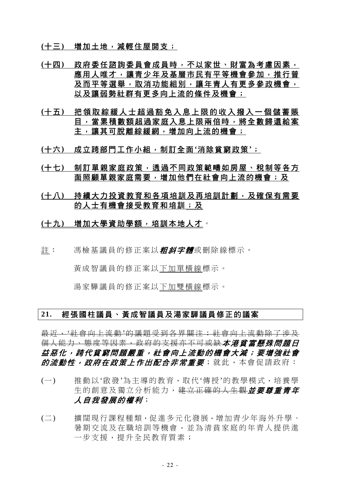**(**十三**)** 增加土地,減輕住屋開支;

- **(**十四**)** 政府委任諮詢委員會成員時,不以家世、財富為考慮因素, 應用人唯才,讓青少年及基層市民有平等機會參加,推行普 及而平等選舉,取消功能組別,讓年青人有更多參政機會, 以及讓弱勢社群有更多向上流的條件及機會;
- **(**十五**)** 把領取綜緩人士超過豁免入息上限的收入撥入一個儲蓄賬 目,當累積數額超過家庭入息上限兩倍時,將全數歸還給案 主,讓其可脫離綜緩網,增加向上流的機會;
- **(**十六**)** 成立跨部門工作小組,制訂全面**'**消除貧窮政策**'**;
- **(**十七**)** 制訂單親家庭政策,透過不同政策範疇如房屋、稅制等各方 面照顧單親家庭需要,增加他們在社會向上流的機會;及
- **(**十八**)** 持續大力投資教育和各項培訓及再培訓計劃,及確保有需要 的人士有機會接受教育和培訓;及
- **(**十九**)** 增加大學資助學額,培訓本地人才。
- 註: 馮檢基議員的修正案以*粗斜字體***或刪除線標示。**

黃成智議員的修正案以下加單橫線標示。

湯家驊議員的修正案以下加雙橫線標示。

## **21.** 經張國柱議員、黃成智議員及湯家驊議員修正的議案

最近,'社會向上流動'的議題受到各界關注;社會向上流動除了涉及 個人能力、態度等因素,政府的支援亦不可或缺本港貧富懸殊問題日 益惡化,跨代貧窮問題嚴重,社會向上流動的機會大減;要增強社會 的流動性,政府在政策上作出配合非常重要;就此,本會促請政府:

- (一) 推動以'啟發'為主導的教育,取代'傳授'的教學模式,培養學 生的創意及獨立分析能力,建立正確的人生觀並要尊重責在 人自我發展的權利;
- (二) 擴闊現行課程種類,促進多元化發展,增加青少年海外升學、 暑期交流及在職培訓等機會,並為清貧家庭的年青人提供進 一步支援,提升全民教育質素;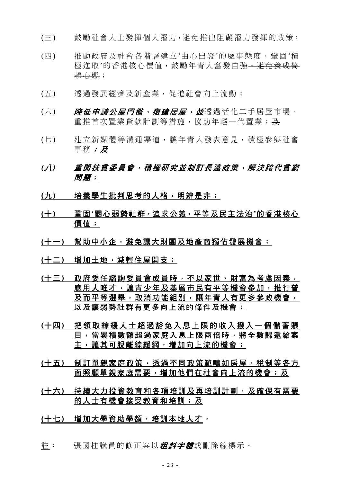- (三) 鼓勵社會人士發揮個人潛力,避免推出阻礙潛力發揮的政策;
- (四) 推動政府及社會各階層建立'由心出發'的處事態度,鞏固'積 極進取'的香港核心價值,鼓勵年青人奮發自強,避免養成倚 賴心態;
- (五) 透過發展經濟及新產業,促進社會向上流動;
- (六) *降低申請公屋門檻、復建居屋,並*透過活化二手居屋市場、 重推首次置業貸款計劃等措施,協助年輕一代置業;及
- (七) 建立新媒體等溝通渠道,讓年青人發表意見,積極參與社會 事務;及
- *(*八*)* 重開扶貧委員會,積極研究並制訂長遠政策,解決跨代貧窮 問題;
- (九) 培養學生批判思考的人格,明辨是非;
- **(**十**)** 鞏固**'**關心弱勢社群,追求公義,平等及民主法治**'**的香港核心 價值;
- **(**十一**)** 幫助中小企,避免讓大財團及地產商獨佔發展機會;
- **(**十二**)** 增加土地,減輕住屋開支;
- **(**十三**)** 政府委任諮詢委員會成員時,不以家世、財富為考慮因素, 應用人唯才,讓青少年及基層市民有平等機會參加,推行普 及而平等選舉,取消功能組別,讓年青人有更多參政機會, 以及讓弱勢社群有更多向上流的條件及機會;
- **(**十四**)** 把領取綜緩人士超過豁免入息上限的收入撥入一個儲蓄賬 目,當累積數額超過家庭入息上限兩倍時,將全數歸還給案 主,讓其可脫離綜緩網,增加向上流的機會;
- **(**十五**)** 制訂單親家庭政策,透過不同政策範疇如房屋、稅制等各方 面照顧單親家庭需要,增加他們在社會向上流的機會;及
- **(**十六**)** 持續大力投資教育和各項培訓及再培訓計劃,及確保有需要 的人士有機會接受教育和培訓;及
- **(**十七**)** 增加大學資助學額,培訓本地人才。
- 註: 張國柱議員的修正案以*粗斜字體*或刪除線標示。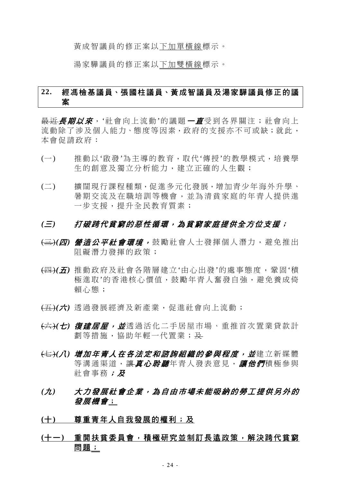黃成智議員的修正案以下加單橫線標示。

湯家驊議員的修正案以下加雙橫線標示。

# **22.** 經馮檢基議員、張國柱議員、黃成智議員及湯家驊議員修正的議 案

最近*長期以來*,'社會向上流動'的議題*一直*受到各界關注;社會向上 流動除了涉及個人能力、態度等因素,政府的支援亦不可或缺;就此, 本會促請政府:

- (一) 推動以'啟發'為主導的教育,取代'傳授'的教學模式,培養學 生的創意及獨立分析能力,建立正確的人生觀;
- (二) 擴闊現行課程種類,促進多元化發展,增加青少年海外升學、 暑期交流及在職培訓等機會,並為清貧家庭的年青人提供進 一步支援,提升全民教育質素;

- (三)*(*四*)* 營造公平社會環境, 鼓勵社會人士發揮個人潛力,避免推出 阻礙潛力發揮的政策;
- (四)*(*五*)* 推動政府及社會各階層建立'由心出發'的處事態度,鞏固'積 極進取'的香港核心價值,鼓勵年青人奮發自強,避免養成倚 賴心態;
- (五)*(*六*)* 透過發展經濟及新產業,促進社會向上流動;
- (六)*(*七*)* 復建居屋,並透過活化二手居屋市場、重推首次置業貸款計 劃等措施,協助年輕一代置業;及
- (七)*(*八*)* 增加年青人在各法定和諮詢組織的參與程度,並建立新媒體 等溝通渠道,讓真心*聆聽*年青人發表意見,讓他們積極參與 社會事務;及
- *(*九*)* 大力發展社會企業,為自由市場未能吸納的勞工提供另外的 發展機會;
- **(**十**)** 尊重青年人自我發展的權利;及
- **(**十一**)** 重開扶貧委員會,積極研究並制訂長遠政策,解決跨代貧窮 問題;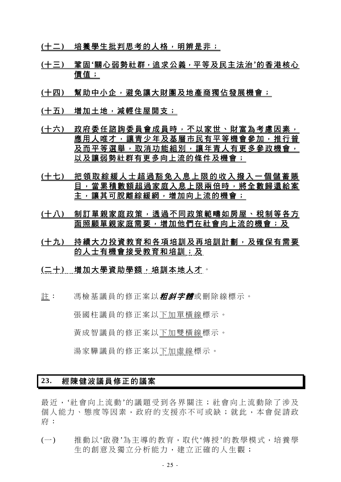- **(**十二**)** 培養學生批判思考的人格,明辨是非;
- **(**十三**)** 鞏固**'**關心弱勢社群,追求公義,平等及民主法治**'**的香港核心 價值;
- **(**十四**)** 幫助中小企,避免讓大財團及地產商獨佔發展機會;
- **(**十五**)** 增加土地,減輕住屋開支;
- **(**十六**)** 政府委任諮詢委員會成員時,不以家世、財富為考慮因素, 應用人唯才,讓青少年及基層市民有平等機會參加,推行普 及而平等選舉,取消功能組別,讓年青人有更多參政機會, 以及讓弱勢社群有更多向上流的條件及機會;
- **(**十七**)** 把領取綜緩人士超過豁免入息上限的收入撥入一個儲蓄賬 目,當累積數額超過家庭入息上限兩倍時,將全數歸還給案 主,讓其可脫離綜緩網,增加向上流的機會;
- **(**十八**)** 制訂單親家庭政策,透過不同政策範疇如房屋、稅制等各方 面照顧單親家庭需要,增加他們在社會向上流的機會;及
- **(**十九**)** 持續大力投資教育和各項培訓及再培訓計劃,及確保有需要 的人士有機會接受教育和培訓;及
- **(**二十**)** 增加大學資助學額,培訓本地人才。
- 註: 馮檢基議員的修正案以*粗斜字體*或刪除線標示。

張國柱議員的修正案以下加單橫線標示。

黃成智議員的修正案以下加雙橫線標示。

湯家驊議員的修正案以下加虛線標示。

# **23.** 經陳健波議員修正的議案

最近,'社會向上流動'的議題受到各界關注;社會向上流動除了涉及 個人能力、態度等因素,政府的支援亦不可或缺;就此,本會促請政 府:

(一) 推動以'啟發'為主導的教育,取代'傳授'的教學模式,培養學 生的創意及獨立分析能力,建立正確的人生觀;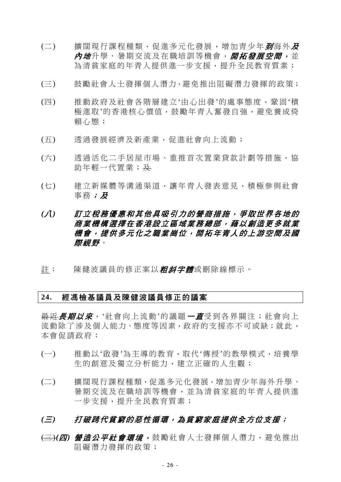- (二) 擴闊現行課程種類,促進多元化發展,增加青少年*到*海外*及* 內 地升學、暑期交流及在職培訓等機會, 開拓發展空間, 並 為清貧家庭的年青人提供進一步支援,提升全民教育質素;
- (三) 鼓勵社會人士發揮個人潛力,避免推出阻礙潛力發揮的政策;
- (四) 推動政府及社會各階層建立'由心出發'的處事態度,鞏固'積 極進取'的香港核心價值,鼓勵年青人奮發自強,避免養成倚 賴心態;
- (五) 透過發展經濟及新產業,促進社會向上流動;
- (六) 透過活化二手居屋市場、重推首次置業貸款計劃等措施,協 助年輕一代置業; 及
- (七) 建立新媒體等溝通渠道,讓年青人發表意見,積極參與社會 事務;及

# *(*八*)* 訂立稅務優惠和其他具吸引力的營商措施,爭取世界各地的 商業機構選擇在香港設立區域業務總部,藉以創造更多就業 機會,提供多元化之職業崗位,開拓年青人的上游空間及國 際視野。

註: 陳健波議員的修正案以*粗斜字體***或刪除線標示。** 

## **24.** 經馮檢基議員及陳健波議員修正的議案

最近*長期以來*, '社會向上流動'的議題 — *直*受到各界關注; 社會向上 流動除了涉及個人能力、態度等因素,政府的支援亦不可或缺;就此, 本會促請政府:

- (一) 推動以'啟發'為主導的教育,取代'傳授'的教學模式,培養學 生的創意及獨立分析能力,建立正確的人生觀;
- (二) 擴闊現行課程種類,促進多元化發展,增加青少年海外升學、 暑期交流及在職培訓等機會,並為清貧家庭的年青人提供進 一步支援,提升全民教育質素;

# *(*三*)* 打破跨代貧窮的惡性循環,為貧窮家庭提供全方位支援;

(三)*(*四*)* 營造公平社會環境, 鼓勵社會人士發揮個人潛力,避免推出 阻礙潛力發揮的政策;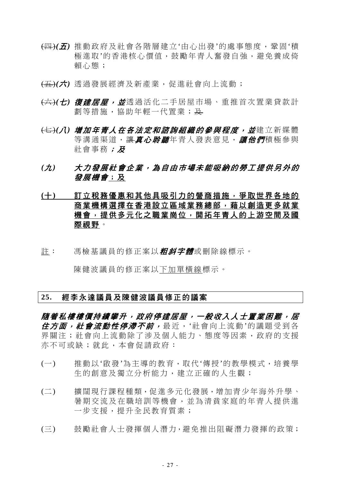- (四)*(*五*)* 推動政府及社會各階層建立'由心出發'的處事態度,鞏固'積 極進取'的香港核心價值,鼓勵年青人奮發自強,避免養成倚 賴心態;
- (五)*(*六*)* 透過發展經濟及新產業,促進社會向上流動;
- (六)*(*七*)* 復建居屋,並透過活化二手居屋市場、重推首次置業貸款計 劃等措施,協助年輕一代置業;及
- (七)*(*八*)* 增加年青人在各法定和諮詢組織的參與程度,並建立新媒體 等溝涌渠道,讓真心*聆聽*年青人發表意見,讓他們積極參與 社會事務;及
- *(*九*)* 大力發展社會企業,為自由市場未能吸納的勞工提供另外的 發展機會;及
- **(**十**)** 訂立稅務優惠和其他具吸引力的營商措施,爭取世界各地的 商業機構選擇在香港設立區域業務總部,藉以創造更多就業 機會,提供多元化之職業崗位,開拓年青人的上游空間及國 際視野。
- 註: 馮檢基議員的修正案以*粗斜字體*或刪除線標示。

陳健波議員的修正案以下加單橫線標示。

### **25.** 經李永達議員及陳健波議員修正的議案

**隋着私樓樓價持續攀升,政府停建居屋,一般收入人十置業闲難,居** 住方面, 社會流動性停滯不前, 最近, '社會向上流動'的議題受到各 界關注;社會向上流動除了涉及個人能力、態度等因素,政府的支援 亦不可或缺;就此,本會促請政府:

- (一) 推動以'啟發'為主導的教育,取代'傳授'的教學模式,培養學 生的創意及獨立分析能力,建立正確的人生觀;
- (二) 擴闊現行課程種類,促進多元化發展,增加青少年海外升學、 暑期交流及在職培訓等機會,並為清貧家庭的年青人提供進 一步支援,提升全民教育質素;
- (三) 鼓勵社會人士發揮個人潛力,避免推出阻礙潛力發揮的政策;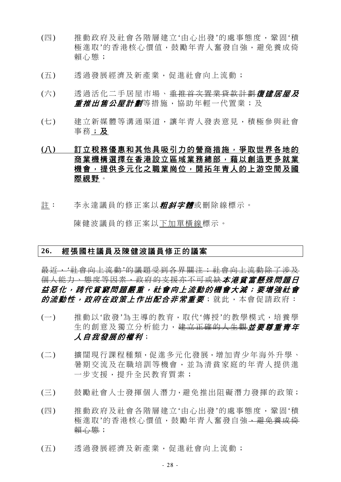- (四) 推動政府及社會各階層建立'由心出發'的處事態度,鞏固'積 極淮取'的香港核心價值,鼓勵年青人奮發自強,避免養成倚 賴心態;
- (五) 透過發展經濟及新產業,促進社會向上流動;
- (六) 透過活化二手居屋市場、重推首次置業貸款計劃復建居屋及 *重推出售公屋計劃*等措施,協助年輕一代置業;及
- (七) 建立新媒體等溝通渠道,讓年青人發表意見,積極參與社會 事務;及

# **(**八**)** 訂立稅務優惠和其他具吸引力的營商措施,爭取世界各地的 商業機構選擇在香港設立區域業務總部,藉以創造更多就業 機會,提供多元化之職業崗位,開拓年青人的上游空間及國 際視野。

註: 李永達議員的修正案以*粗斜字體***或刪除線標示。** 

陳健波議員的修正案以下加單橫線標示。

### **26.** 經張國柱議員及陳健波議員修正的議案

最近,'社會向上流動'的議題受到各界關注;社會向上流動除了涉及 個人能力、態度等因素,政府的支援亦不可或缺本港貧富懸殊問題日 益惡化,跨代貧窮問題嚴重,社會向上流動的機會大減;要增強社會 的流動性,政府在政策上作出配合非常重要;就此,本會促請政府:

- (一) 推動以'啟發'為主導的教育,取代'傳授'的教學模式,培養學 生的創意及獨立分析能力,建立正確的人生觀**並要尊重青年** 人自我發展的權利;
- (二) 擴闊現行課程種類,促進多元化發展,增加青少年海外升學、 暑期交流及在職培訓等機會,並為清貧家庭的年青人提供進 一步支援,提升全民教育質素;
- (三) 鼓勵社會人士發揮個人潛力,避免推出阻礙潛力發揮的政策;
- (四) 推動政府及社會各階層建立'由心出發'的處事態度,鞏固'積 極進取'的香港核心價值,鼓勵年青人奮發自強,<del>避免養成倚</del> 賴心態;
- (五) 透過發展經濟及新產業,促進社會向上流動;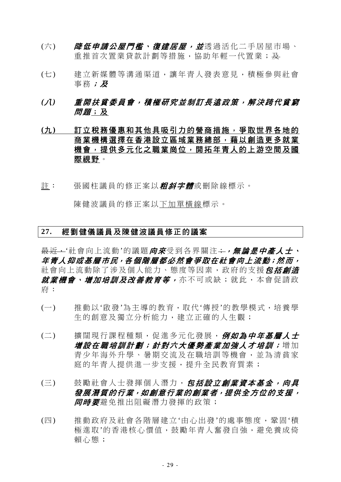- (六) *降低申請公屋門檻、復建居屋,並*透過活化二手居屋市場、 重推首次置業貸款計劃等措施,協助年輕一代置業;及
- (七) 建立新媒體等溝通渠道,讓年青人發表意見,積極參與社會 事務;及
- *(*八*)* 重開扶貧委員會,積極研究並制訂長遠政策,解決跨代貧窮 *問題*;及
- **(**九**)** 訂立稅務優惠和其他具吸引力的營商措施,爭取世界各地的 商業機構選擇在香港設立區域業務總部,藉以創造更多就業 機會,提供多元化之職業崗位,開拓年青人的上游空間及國 際視野。
- 註: 張國柱議員的修正案以*粗斜字體***或刪除線標示。**

陳健波議員的修正案以下加單橫線標示。

## **27.** 經劉健儀議員及陳健波議員修正的議案

最近,'社會向上流動'的議題*向來*受到各界關注;,, , 無論*是中產人士*, 年青人抑或基層市民,各個階層都必然會爭取在社會向上流動;然而, 社會向上流動除了涉及個人能力、態度等因素,政府的支援*包括創造* **就業機會、增加培訓及改善教育等,**亦不可或缺;就此,本會促請政 府:

- (一) 推動以'啟發'為主導的教育,取代'傳授'的教學模式,培養學 生的創意及獨立分析能力,建立正確的人生觀;
- (二) 擴闊現行課程種類,促進多元化發展,例如為中年基層人士 增設在職培訓計劃;針對六大優勢產業加強人才培訓;增加 青少年海外升學、暑期交流及在職培訓等機會,並為清貧家 庭的年青人提供淮一步支援,提升全民教育質素;
- (三) 鼓勵社會人士發揮個人潛力,*包括設立創業資本基金,向具* 發展潛質的行業,如創意行業的創業者,提供全方位的支援, 后用某些关系的方法的方法。
- (四) 推動政府及社會各階層建立'由心出發'的處事態度,鞏固'積 極淮取'的香港核心價值,鼓勵年青人奮發自強,灌免養成倚 賴心態;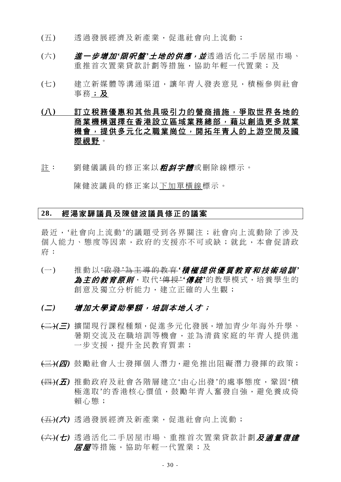- (五) 透過發展經濟及新產業,促進社會向上流動;
- (六) **進一步增加'***限呎盤'土地的供應,並***透過活化二手居屋市場、** 重推首次置業貸款計劃等措施,協助年輕一代置業;及
- (七) 建立新媒體等溝通渠道,讓年青人發表意見,積極參與社會 事務;及
- **(**八**)** 訂立稅務優惠和其他具吸引力的營商措施,爭取世界各地的 商業機構選擇在香港設立區域業務總部,藉以創造更多就業 機會,提供多元化之職業崗位,開拓年青人的上游空間及國 際視野。
- 註: 劉健儀議員的修正案以*粗斜字體***或刪除線標示**。

陳健波議員的修正案以下加單橫線標示。

#### **28.** 經湯家驊議員及陳健波議員修正的議案

最沂,'社會向上流動'的議題受到各界關注;社會向上流動除了涉及 個人能力、態度等因素,政府的支援亦不可或缺;就此,本會促請政 府:

- (一) 推動以 '啟 發 '為主導的教育 *'*積極提供優質教育和技術培訓 *'* 為主的教育原則,取代'傳授'*'*傳統*'*的教學模式,培養學生的 創意及獨立分析能力,建立正確的人生觀;
- *(*二*)* 增加大學資助學額,培訓本地人才;
- (二)*(*三*)* 擴闊現行課程種類,促進多元化發展,增加青少年海外升學、 暑期交流及在職培訓等機會,並為清貧家庭的年青人提供進 一步支援,提升全民教育質素;
- (三)*(*四*)* 鼓勵社會人士發揮個人潛力,避免推出阻礙潛力發揮的政策;
- (四)*(*五*)* 推動政府及社會各階層建立'由心出發'的處事態度,鞏固'積 極淮取'的香港核心價值,鼓勵年青人奮發自強,灌免養成倚 賴心態;
- (五)*(*六*)* 透過發展經濟及新產業,促進社會向上流動;
- (六)*(*七*)* 透過活化二手居屋市場、重推首次置業貸款計劃及適量復建 居屋等措施,協助年輕一代置業;及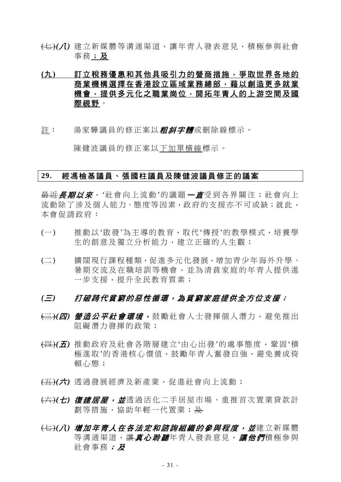(七)(1) 建立新媒體等溝涌渠道,讓年青人發表意見,積極參與計會 事務;及

# **(**九**)** 訂立稅務優惠和其他具吸引力的營商措施,爭取世界各地的 商業機構選擇在香港設立區域業務總部,藉以創造更多就業 機會,提供多元化之職業崗位,開拓年青人的上游空間及國 際視野。

註: 湯家驊議員的修正案以*粗斜字體***或刪除線標示。** 

陳健波議員的修正案以下加單橫線標示。

## **29.** 經馮檢基議員、張國柱議員及陳健波議員修正的議案

<del>最近*長期以來*,'</del>社會向上流動'的議題*一直*受到各界關注;社會向上 流動除了涉及個人能力、態度等因素,政府的支援亦不可或缺;就此, 本會促請政府:

- (一) 推動以'啟發'為主導的教育,取代'傳授'的教學模式,培養學 生的創意及獨立分析能力,建立正確的人生觀;
- (二) 擴闊現行課程種類,促進多元化發展,增加青少年海外升學、 暑期交流及在職培訓等機會,並為清貧家庭的年青人提供進 一步支援,提升全民教育質素;

- (三)*(*四*)* 營造公平社會環境, 鼓勵社會人士發揮個人潛力,避免推出 阻礙潛力發揮的政策;
- (四)*(*五*)* 推動政府及社會各階層建立'由心出發'的處事態度,鞏固'積 極淮取'的香港核心價值,鼓勵年青人奮發自強,避免養成倚 賴心態;
- (五)*(*六*)* 透過發展經濟及新產業,促進社會向上流動;
- (六)*(*七*)* 復建居屋,並透過活化二手居屋市場、重推首次置業貸款計 劃等措施,協助年輕一代置業;及
- <del>(七)</del>(*八) 增加年青人在各法定和諮詢組織的參與程度,並*建立新媒體 等溝通渠道,讓*真心聆聽*年青人發表意見,讓他們積極參與 社會事務;及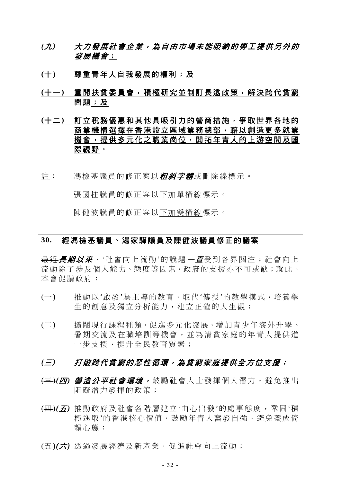- *(*九*)* 大力發展社會企業,為自由市場未能吸納的勞工提供另外的 發展機會;
- **(**十**)** 尊重青年人自我發展的權利;及
- **(**十一**)** 重開扶貧委員會,積極研究並制訂長遠政策,解決跨代貧窮 問題;及
- **(**十二**)** 訂立稅務優惠和其他具吸引力的營商措施,爭取世界各地的 商業機構選擇在香港設立區域業務總部,藉以創造更多就業 機會,提供多元化之職業崗位,開拓年青人的上游空間及國 際視野。
- 註: 馮檢基議員的修正案以**粗斜字體**或刪除線標示。

張國柱議員的修正案以下加單橫線標示。

陳健波議員的修正案以下加雙橫線標示。

### **30.** 經馮檢基議員、湯家驊議員及陳健波議員修正的議案

<del>最近*長期以來*,'</del>社會向上流動'的議題*一直*受到各界關注;社會向上 流動除了涉及個人能力、態度等因素,政府的支援亦不可或缺;就此, 本會促請政府:

- (一) 推動以'啟發'為主導的教育,取代'傳授'的教學模式,培養學 生的創意及獨立分析能力,建立正確的人生觀;
- (二) 擴闊現行課程種類,促進多元化發展,增加青少年海外升學、 暑期交流及在職培訓等機會,並為清貧家庭的年青人提供進 一步支援,提升全民教育質素;

- (三)*(*四*)* 營造公平社會環境, 鼓勵社會人士發揮個人潛力,避免推出 阻礙潛力發揮的政策;
- (四)*(*五*)* 推動政府及社會各階層建立'由心出發'的處事態度,鞏固'積 極進取'的香港核心價值,鼓勵年青人奮發自強,避免養成倚 賴心態;
- (五)*(*六*)* 透過發展經濟及新產業,促進社會向上流動;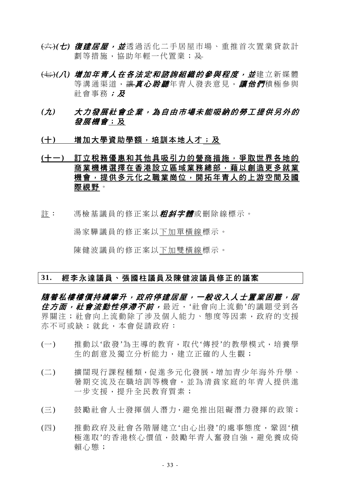- (六)*(*七*)* 復建居屋,並透過活化二手居屋市場、重推首次置業貸款計 劃等措施,協助年輕一代置業;及
- <del>(七)</del>(*八) 增加年青人在各法定和諮詢組織的參與程度,並*建立新媒體 等溝通渠道,讓*真心聆聽*年青人發表意見,讓他們積極參與 社會事務;及
- *(*九*)* 大力發展社會企業,為自由市場未能吸納的勞工提供另外的 發展機會;及
- (十) 增加大學資助學額,培訓本地人才;及

# **(**十一**)** 訂立稅務優惠和其他具吸引力的營商措施,爭取世界各地的 商業機構選擇在香港設立區域業務總部,藉以創造更多就業 機會,提供多元化之職業崗位,開拓年青人的上游空間及國 際視野。

註: 馮檢基議員的修正案以*粗斜字體***或刪除線標示。** 

湯家驊議員的修正案以下加單橫線標示。

陳健波議員的修正案以下加雙橫線標示。

### **31.** 經李永達議員、張國柱議員及陳健波議員修正的議案

**隨着私樓樓價持續攀升,政府停建居屋,一般收入人士置業困難,居** 住方面, 社會流動性停滯不前, 最近, '社會向上流動'的議題受到各 界關注;社會向上流動除了涉及個人能力、態度等因素,政府的支援 亦不可或缺;就此,本會促請政府:

- (一) 推動以'啟發'為主導的教育,取代'傳授'的教學模式,培養學 生的創意及獨立分析能力,建立正確的人生觀;
- (二) 擴闊現行課程種類,促進多元化發展,增加青少年海外升學、 暑期交流及在職培訓等機會,並為清貧家庭的年青人提供進 一步支援,提升全民教育質素;
- (三) 鼓勵社會人士發揮個人潛力,避免推出阻礙潛力發揮的政策;
- (四) 推動政府及社會各階層建立'由心出發'的處事態度,鞏固'積 極進取'的香港核心價值,鼓勵年青人奮發自強,避免養成倚 賴心態;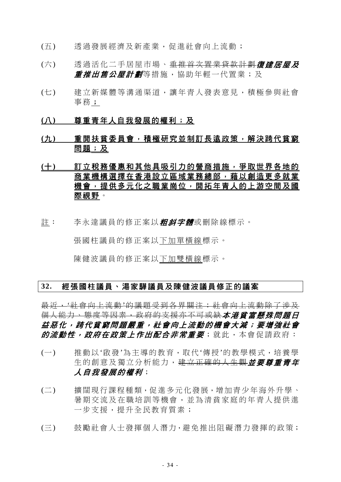- (五) 透過發展經濟及新產業,促進社會向上流動;
- (六) 透過活化二手居屋市場、<del>重推首次置業貸款計劃</del>復建居屋及 *重推出售公屋計劃*等措施,協助年輕一代置業;及
- (七) 建立新媒體等溝通渠道,讓年青人發表意見,積極參與社會 事務;
- **(**八**)** 尊重青年人自我發展的權利;及
- **(**九**)** 重開扶貧委員會,積極研究並制訂長遠政策,解決跨代貧窮 問題;及
- **(**十**)** 訂立稅務優惠和其他具吸引力的營商措施,爭取世界各地的 商業機構選擇在香港設立區域業務總部,藉以創造更多就業 機會,提供多元化之職業崗位,開拓年青人的上游空間及國 際視野。
- 註: 李永達議員的修正案以*粗斜字體*或刪除線標示。

張國柱議員的修正案以下加單橫線標示。

陳健波議員的修正案以下加雙橫線標示。

## **32.** 經張國柱議員、湯家驊議員及陳健波議員修正的議案

最近,'社會向上流動'的議題受到各界關注;社會向上流動除了涉及 個人能力、態度等因素,政府的支援亦不可或缺*本港貧富懸殊問題日* 益惡化,跨代貧窮問題嚴重,社會向上流動的機會大減;要增強社會 的流動性,政府在政策上作出配合非常重要;就此,本會促請政府:

- (一) 推動以'啟發'為主導的教育,取代'傳授'的教學模式,培養學 生的創意及獨立分析能力, 建立正確的人生觀**並要尊重青年** 人自我發展的權利;
- (二) 擴闊現行課程種類,促進多元化發展,增加青少年海外升學、 暑期交流及在職培訓等機會,並為清貧家庭的年青人提供進 一步支援,提升全民教育質素;
- (三) 鼓勵社會人士發揮個人潛力,避免推出阻礙潛力發揮的政策;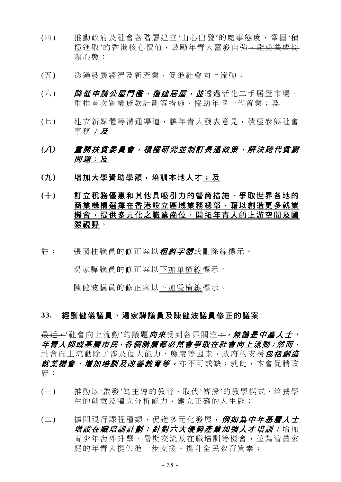- (四) 推動政府及社會各階層建立'由心出發'的處事態度,鞏固'積 極進取'的香港核心價值,鼓勵年青人奮發自強,<del>避免養成倚</del> 賴心態;
- (五) 透過發展經濟及新產業,促進社會向上流動;
- (六) *降低申請公屋門檻、復建居屋,並*透過活化二手居屋市場、 重推首次置業貸款計劃等措施,協助年輕一代置業;及
- (七) 建立新媒體等溝通渠道,讓年青人發表意見,積極參與社會 事務;及
- *(*八*)* 重開扶貧委員會,積極研究並制訂長遠政策,解決跨代貧窮 *問題*;及
- (九) 増加大學資助學額,培訓本地人才;及

# **(**十**)** 訂立稅務優惠和其他具吸引力的營商措施,爭取世界各地的 商業機構選擇在香港設立區域業務總部,藉以創造更多就業 機會,提供多元化之職業崗位,開拓年青人的上游空間及國 際視野。

註: 張國柱議員的修正案以*粗斜字體*或刪除線標示。

湯家驊議員的修正案以下加單橫線標示。

陳健波議員的修正案以下加雙橫線標示。

### **33.** 經劉健儀議員、湯家驊議員及陳健波議員修正的議案

<del>最近,</del>'社會向上流動'的議題*向來*受到各界關注<del>;, 無論*是中產人士*、</del> 年青人抑或基層市民,各個階層都必然會爭取在社會向上流動;然而, 社會向上流動除了涉及個人能力、態度等因素, 政府的支援*包括創造* 就業機會、增加培訓及改善教育等,亦不可或缺;就此,本會促請政 府:

- (一) 推動以'啟發'為主導的教育,取代'傳授'的教學模式,培養學 生的創意及獨立分析能力,建立正確的人生觀;
- (二) 擴闊現行課程種類,促進多元化發展,例如為中*年基層人士* 增設在職培訓計劃;針對六大優勢產業加強人才培訓;增加 青少年海外升學、暑期交流及在職培訓等機會,並為清貧家 庭的年青人提供淮一步支援,提升全民教育質素;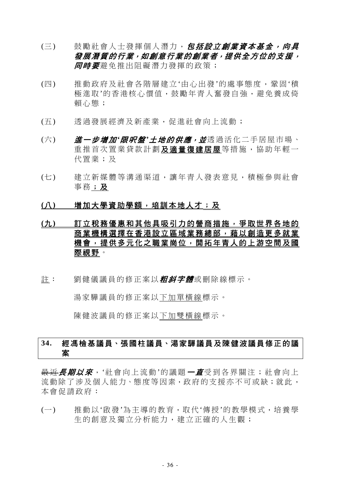- (三) 鼓勵社會人士發揮個人潛力, 包括設立創業資本基金, 向具 發展潛質的行業,如創意行業的創業者,提供全方位的支援, **同時要**避免推出阻礙潛力發揮的政策;
- (四) 推動政府及社會各階層建立'由心出發'的處事態度,鞏固'積 極淮取'的香港核心價值,鼓勵年青人奮發自強,灌免養成倚 賴心態;
- (五) 透過發展經濟及新產業,促進社會向上流動;
- (六) *淮一步增加'跟呎盤'土地的供應,並***透過活化二手居屋市場、** 重推首次置業貸款計劃及適量復建居屋等措施,協助年輕一 代置業;及
- (七) 建立新媒體等溝通渠道,讓年青人發表意見,積極參與社會 事務;及

### **(**八**)** 增加大學資助學額,培訓本地人才;及

- **(**九**)** 訂立稅務優惠和其他具吸引力的營商措施,爭取世界各地的 商業機構選擇在香港設立區域業務總部,藉以創造更多就業 機會,提供多元化之職業崗位,開拓年青人的上游空間及國 際視野。
- 註: 劉健儀議員的修正案以*粗斜字體***或刪除線標示。**

湯家驊議員的修正案以下加單橫線標示。

陳健波議員的修正案以下加雙橫線標示。

# **34.** 經馮檢基議員、張國柱議員、湯家驊議員及陳健波議員修正的議 案

最近*長期以來*, '社會向上流動'的議題 一*直*受到各界關注;社會向上 流動除了涉及個人能力、態度等因素,政府的支援亦不可或缺;就此, 本會促請政府:

(一) 推動以'啟發'為主導的教育,取代'傳授'的教學模式,培養學 生的創意及獨立分析能力,建立正確的人生觀;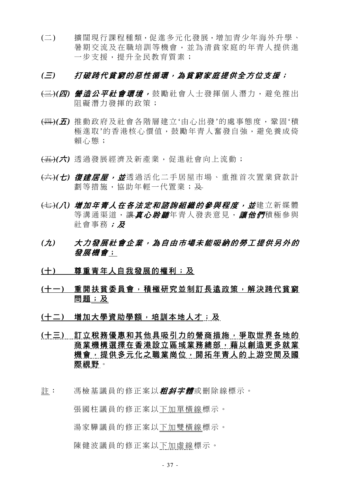(二) 擴闊現行課程種類,促進多元化發展,增加青少年海外升學、 暑期交流及在職培訓等機會,並為清貧家庭的年青人提供進 一步支援,提升全民教育質素;

# *(*三*)* 打破跨代貧窮的惡性循環,為貧窮家庭提供全方位支援;

- (三)*(*四*)* 營造公平社會環境, 鼓勵社會人士發揮個人潛力,避免推出 阻礙潛力發揮的政策;
- (四)*(*五*)* 推動政府及社會各階層建立'由心出發'的處事態度,鞏固'積 極進取'的香港核心價值,鼓勵年青人奮發自強,避免養成倚 賴心態;
- (五)*(*六*)* 透過發展經濟及新產業,促進社會向上流動;
- (六)*(*七*)* 復建居屋,並透過活化二手居屋市場、重推首次置業貸款計 劃等措施,協助年輕一代置業;及
- (七)*(*八*)* 增加年青人在各法定和諮詢組織的參與程度,並建立新媒體 等溝涌渠道, 讓*直心聆聽*年青人發表意見, *讓他們*積極參與 社會事務; B
- *(*九*)* 大力發展社會企業,為自由市場未能吸納的勞工提供另外的 發展機會;
- **(**十**)** 尊重青年人自我發展的權利;及
- **(**十一**)** 重開扶貧委員會,積極研究並制訂長遠政策,解決跨代貧窮 問題;及
- **(**十二**)** 增加大學資助學額,培訓本地人才;及
- **(**十三**)** 訂立稅務優惠和其他具吸引力的營商措施,爭取世界各地的 商業機構選擇在香港設立區域業務總部,藉以創造更多就業 機會,提供多元化之職業崗位,開拓年青人的上游空間及國 際視野。
- 註: 馮檢基議員的修正案以*粗斜字體*或刪除線標示。

 張國柱議員的修正案以下加單橫線標示。 湯家驊議員的修正案以下加雙橫線標示。

陳健波議員的修正案以下加虛線標示。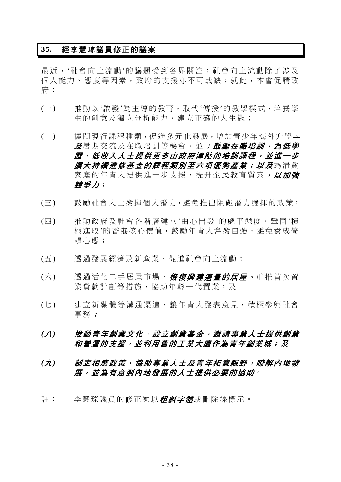# **35.** 經李慧琼議員修正的議案

最近,'社會向上流動'的議題受到各界關注;社會向上流動除了涉及 個人能力、態度等因素,政府的支援亦不可或缺;就此,本會促請政 府:

- (一) 推動以'啟發'為主導的教育,取代'傳授'的教學模式,培養學 生的創意及獨立分析能力,建立正確的人生觀;
- (二) 擴闊現行課程種類,促進多元化發展,增加青少年海外升學、 及暑期交流<u>及在職培訓等機會,並</u>;鼓勵在職培訓,為低學 歷、低收入人士提供更多由政府津貼的培訓課程,並進一步 **擴大持續進修基金的課程類別至六項優勢產業;以及**為清貧 家庭的年青人提供進一步支援,提升全民教育質素, 以加強 競爭力;
- (三) 鼓勵社會人士發揮個人潛力,避免推出阻礙潛力發揮的政策;
- (四) 推動政府及社會各階層建立'由心出發'的處事態度,鞏固'積 極淮取'的香港核心價值,鼓勵年青人奮發自強,避免養成倚 賴心態;
- (五) 透過發展經濟及新產業,促進社會向上流動;
- (六) 透過活化二手居屋市場、*恢復興建適量的居屋、*重推首次置 業貸款計劃等措施,協助年輕一代置業;及
- (七) 建立新媒體等溝通渠道,讓年青人發表意見,積極參與社會 事務;
- *(*八*)* 推動青年創業文化,設立創業基金,邀請專業人士提供創業 和營運的支援,並利用舊的工業大廈作為青年創業城;及
- *(*九*)* 制定相應政策,協助專業人士及青年拓寬視野,瞭解內地發 展,並為有意到內地發展的人士提供必要的協助。
- 註: 李慧琼議員的修正案以*粗斜字體*或刪除線標示。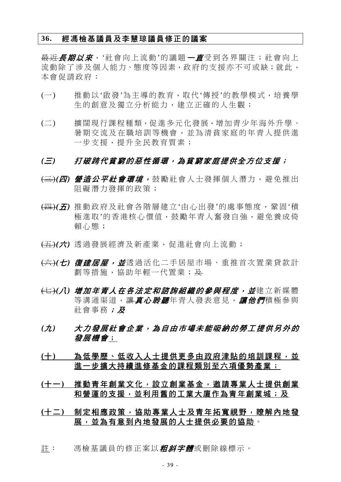### **36.** 經馮檢基議員及李慧琼議員修正的議案

最近*長期以來*,'社會向上流動'的議題*一直*受到各界關注;社會向上 流動除了涉及個人能力、態度等因素,政府的支援亦不可或缺;就此, 本會促請政府:

- (一) 推動以'啟發'為主導的教育,取代'傳授'的教學模式,培養學 生的創意及獨立分析能力,建立正確的人生觀;
- (二) 擴闊現行課程種類,促進多元化發展,增加青少年海外升學、 暑期交流及在職培訓等機會,並為清貧家庭的年青人提供進 一步支援,提升全民教育質素;

- (三)*(*四*)* 營造公平社會環境, 鼓勵社會人士發揮個人潛力,避免推出 阻礙潛力發揮的政策;
- (四)*(*五*)* 推動政府及社會各階層建立'由心出發'的處事態度,鞏固'積 極進取'的香港核心價值,鼓勵年青人奮發自強,避免養成倚 賴心態;
- (五)*(*六*)* 透過發展經濟及新產業,促進社會向上流動;
- (六)*(*七*)* 復建居屋,並透過活化二手居屋市場、重推首次置業貸款計 劃等措施,協助年輕一代置業;及
- <del>(七)</del>(*八) 增加年青人在各法定和諮詢組織的參與程度,並*建立新媒體 等溝通渠道,讓真心*聆聽*年青人發表意見,讓他們積極參與 社會事務; B
- *(*九*)* 大力發展社會企業,為自由市場未能吸納的勞工提供另外的 發展機會;
- (十) 為低學歷、低收入人士提供更多由政府津貼的培訓課程,並 進一步擴大持續進修基金的課程類別至六項優勢產業;
- **(**十一**)** 推動青年創業文化,設立創業基金,邀請專業人士提供創業 和營運的支援,並利用舊的工業大廈作為青年創業城;及
- **(**十二**)** 制定相應政策,協助專業人士及青年拓寬視野,瞭解內地發 展,並為有意到內地發展的人士提供必要的協助。
- 註: 馮檢基議員的修正案以*粗斜字體*或刪除線標示。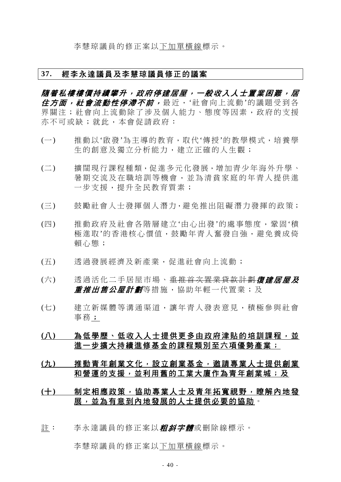李慧琼議員的修正案以下加單橫線標示。

### **37.** 經李永達議員及李慧琼議員修正的議案

隨着私樓樓價持續攀升,政府停建居屋,一般收入人士置業困難,居 住方面, 社會流動性停滯不前, 最近, '社會向上流動'的議題受到各 界關注;社會向上流動除了涉及個人能力、態度等因素,政府的支援 亦不可或缺;就此,本會促請政府:

- (一) 推動以'啟發'為主導的教育,取代'傳授'的教學模式,培養學 生的創意及獨立分析能力,建立正確的人生觀;
- (二) 擴闊現行課程種類,促進多元化發展,增加青少年海外升學、 暑期交流及在職培訓等機會,並為清貧家庭的年青人提供進 一步支援,提升全民教育質素;
- (三) 鼓勵社會人士發揮個人潛力,避免推出阻礙潛力發揮的政策;
- (四) 推動政府及社會各階層建立'由心出發'的處事態度,鞏固'積 極進取'的香港核心價值,鼓勵年青人奮發自強,避免養成倚 賴心態;
- (五) 透過發展經濟及新產業,促進社會向上流動;
- (六) 透過活化二手居屋市場、重推首次置業貸款計劃**復建居屋及** *重推出售公屋計劃*等措施,協助年輕一代置業;及
- (七) 建立新媒體等溝通渠道,讓年青人發表意見,積極參與社會 事務;
- (八) 為低學歷、低收入人士提供更多由政府津貼的培訓課程,並 進一步擴大持續進修基金的課程類別至六項優勢產業;
- **(**九**)** 推動青年創業文化,設立創業基金,邀請專業人士提供創業 和營運的支援,並利用舊的工業大廈作為青年創業城;及

# **(**十**)** 制定相應政策,協助專業人士及青年拓寬視野,瞭解內地發 展,並為有意到內地發展的人士提供必要的協助。

註: 李永達議員的修正案以*粗斜字體***或刪除線標示。** 

李慧琼議員的修正案以下加單橫線標示。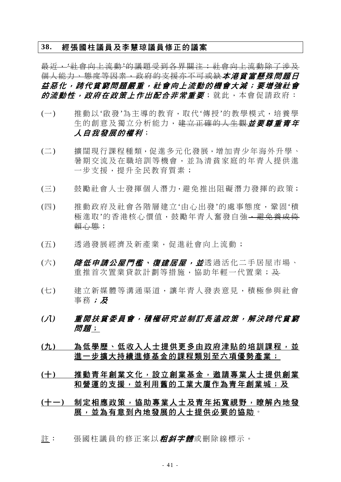# **38.** 經張國柱議員及李慧琼議員修正的議案

最近,'社會向上流動'的議題受到各界關注;社會向上流動除了涉及 個人能力、態度等因素,政府的支援亦不可或缺本港貧富懸殊問題日 益惡化,跨代貧窮問題嚴重,社會向上流動的機會大減;要增強社會 的流動性,政府在政策上作出配合非常重要;就此,本會促請政府:

- (一) 推動以'啟發'為主導的教育,取代'傳授'的教學模式,培養學 生的創意及獨立分析能力,建立正確的人生觀**並要尊重責年** 人自我發展的權利;
- (二) 擴闊現行課程種類,促進多元化發展,增加青少年海外升學、 暑期交流及在職培訓等機會,並為清貧家庭的年青人提供進 一步支援,提升全民教育質素;
- (三) 鼓勵社會人士發揮個人潛力,避免推出阻礙潛力發揮的政策;
- (四) 推動政府及社會各階層建立'由心出發'的處事態度,鞏固'積 極淮取'的香港核心價值, 鼓勵年青人奮發自強, 避免養成倍 賴心態;
- (五) 透過發展經濟及新產業,促進社會向上流動;
- (六) *降低申請公屋門檻、復建居屋,並*透過活化二手居屋市場、 重推首次置業貸款計劃等措施,協助年輕一代置業;及
- (七) 建立新媒體等溝通渠道,讓年青人發表意見,積極參與社會 事務;及
- *(*八*)* 重開扶貧委員會,積極研究並制訂長遠政策,解決跨代貧窮 *問題*;
- **(**九**)** 為低學歷、低收入人士提供更多由政府津貼的培訓課程,並 進一步擴大持續進修基金的課程類別至六項優勢產業;
- **(**十**)** 推動青年創業文化,設立創業基金,邀請專業人士提供創業 和營運的支援,並利用舊的工業大廈作為青年創業城;及

# **(**十一**)** 制定相應政策,協助專業人士及青年拓寬視野,瞭解內地發 展,並為有意到內地發展的人士提供必要的協助。

註: 張國柱議員的修正案以**粗斜字體**或刪除線標示。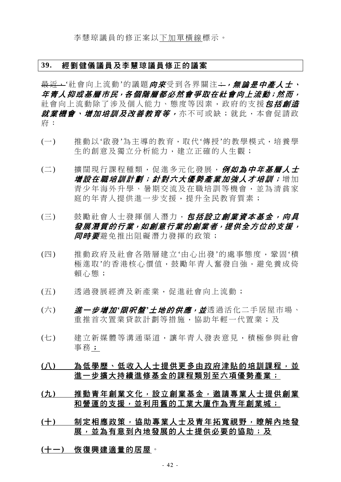### **39.** 經劉健儀議員及李慧琼議員修正的議案

最近,'社會向上流動'的議題*向來*受到各界關注;,, , 無論*是中產人士*, 年青人抑或基層市民,各個階層都必然會爭取在社會向上流動;然而, 社會向上流動除了涉及個人能力、態度等因素, 政府的支援*包括創造 就業機會、增加培訓及改善教育等,*亦不可或缺;就此,本會促請政 府:

- (一) 推動以'啟發'為主導的教育,取代'傳授'的教學模式,培養學 生的創意及獨立分析能力,建立正確的人生觀;
- (二) 擴闊現行課程種類,促進多元化發展, 例如為中年基層人士 增設在職培訓計劃;針對六大優勢產業加強人才培訓;增加 青少年海外升學、暑期交流及在職培訓等機會,並為清貧家 庭的年青人提供進一步支援,提升全民教育質素;
- (三) 鼓勵社會人士發揮個人潛力, 包括設立創業資本基金, 向具 發展潛質的行業,如創意行業的創業者,提供全方位的支援, 后用某些关系的人类的方法的
- (四) 推動政府及社會各階層建立'由心出發'的處事態度,鞏固'積 極進取'的香港核心價值,鼓勵年青人奮發自強,避免養成倚 賴心態;
- (五) 透過發展經濟及新產業,促進社會向上流動;
- (六) **道一步增加'***限呎盤'土地的供應,並***透過活化二手居屋市場、** 重推首次置業貸款計劃等措施,協助年輕一代置業;及
- (七) 建立新媒體等溝通渠道,讓年青人發表意見,積極參與社會 事務;
- (八) 為低學歷、低收入人士提供更多由政府津貼的培訓課程,並 進一步擴大持續進修基金的課程類別至六項優勢產業;
- **(**九**)** 推動青年創業文化,設立創業基金,邀請專業人士提供創業 和營運的支援,並利用舊的工業大廈作為青年創業城;
- **(**十**)** 制定相應政策,協助專業人士及青年拓寬視野,瞭解內地發 展,並為有意到內地發展的人士提供必要的協助;及
- **(**十一**)** 恢復興建適量的居屋。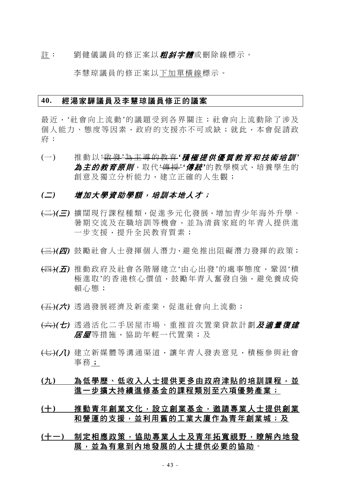註: 劉健儀議員的修正案以**粗斜字體**或刪除線標示。

李慧琼議員的修正案以下加單橫線標示。

#### **40.** 經湯家驊議員及李慧琼議員修正的議案

最近,'社會向上流動'的議題受到各界關注;社會向上流動除了涉及 個人能力、態度等因素,政府的支援亦不可或缺;就此,本會促請政 府:

(一) 推動以 '啟 發 '為主導的教育 *'*積極提供優質教育和技術培訓 *'* 為主的教育原則,取代'傳授'*'*傳統*'*的教學模式,培養學生的 創意及獨立分析能力,建立正確的人生觀;

## *(*二*)* 增加大學資助學額,培訓本地人才;

- (二)*(*三*)* 擴闊現行課程種類,促進多元化發展,增加青少年海外升學、 暑期交流及在職培訓等機會,並為清貧家庭的年青人提供進 一步支援,提升全民教育質素;
- (三)*(*四*)* 鼓勵社會人士發揮個人潛力,避免推出阻礙潛力發揮的政策;
- (四)*(*五*)* 推動政府及社會各階層建立'由心出發'的處事態度,鞏固'積 極進取'的香港核心價值,鼓勵年青人奮發自強,避免養成倚 賴心態;
- (五)*(*六*)* 透過發展經濟及新產業,促進社會向上流動;
- (六)*(*七*)* 透過活化二手居屋市場、重推首次置業貸款計劃及適量復建 *居屋*等措施,協助年輕一代置業;及
- (七)(1) 建立新媒體等溝通渠道,讓年青人發表意見,積極參與社會 事務;

# **(**九**)** 為低學歷、低收入人士提供更多由政府津貼的培訓課程,並 進一步擴大持續進修基金的課程類別至六項優勢產業;

- **(**十**)** 推動青年創業文化,設立創業基金,邀請專業人士提供創業 和營運的支援,並利用舊的工業大廈作為青年創業城;及
- **(**十一**)** 制定相應政策,協助專業人士及青年拓寬視野,瞭解內地發 展,並為有意到內地發展的人士提供必要的協助。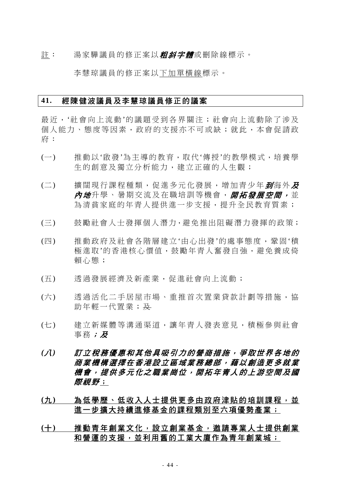註: 湯家驊議員的修正案以**粗斜字體**或刪除線標示。

李慧琼議員的修正案以下加單橫線標示。

#### **41.** 經陳健波議員及李慧琼議員修正的議案

最近,'社會向上流動'的議題受到各界關注;社會向上流動除了涉及 個人能力、態度等因素,政府的支援亦不可或缺;就此,本會促請政 府:

- (一) 推動以'啟發'為主導的教育,取代'傳授'的教學模式,培養學 生的創意及獨立分析能力,建立正確的人生觀;
- (二) 擴闊現行課程種類,促進多元化發展,增加青少年*到*海外及 *內地*升學、暑期交流及在職培訓等機會,*開拓發展空間,*並 為清貧家庭的年青人提供進一步支援,提升全民教育質素;
- (三) 鼓勵社會人士發揮個人潛力,避免推出阻礙潛力發揮的政策;
- (四) 推動政府及社會各階層建立'由心出發'的處事態度,鞏固'積 極進取'的香港核心價值,鼓勵年青人奮發自強,避免養成倚 賴心態;
- (五) 透過發展經濟及新產業,促進社會向上流動;
- (六) 透過活化二手居屋市場、重推首次置業貸款計劃等措施,協 助年輕一代置業; 及
- (七) 建立新媒體等溝通渠道,讓年青人發表意見,積極參與社會 事務;及
- *(*八*)* 訂立稅務優惠和其他具吸引力的營商措施,爭取世界各地的 商業機構選擇在香港設立區域業務總部,藉以創造更多就業 機會,提供多元化之職業崗位,開拓年青人的上游空間及國 *際視野*;
- **(**九**)** 為低學歷、低收入人士提供更多由政府津貼的培訓課程,並 進一步擴大持續進修基金的課程類別至六項優勢產業;
- **(**十**)** 推動青年創業文化,設立創業基金,邀請專業人士提供創業 和營運的支援,並利用舊的工業大廈作為青年創業城;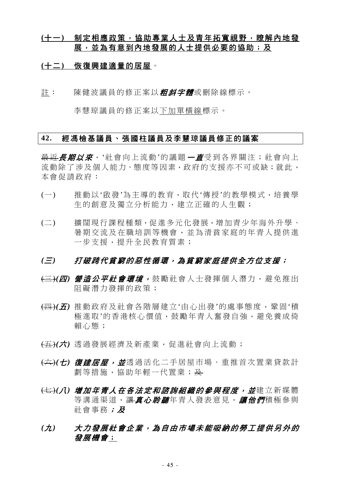# **(**十一**)** 制定相應政策,協助專業人士及青年拓寬視野,瞭解內地發 展,並為有意到內地發展的人士提供必要的協助;及

## **(**十二**)** 恢復興建適量的居屋。

註: 陳健波議員的修正案以**粗斜字體**或刪除線標示。

李慧琼議員的修正案以下加單橫線標示。

# **42.** 經馮檢基議員、張國柱議員及李慧琼議員修正的議案

最近*長期以來*, '社會向上流動'的議題 一*直*受到各界關注; 社會向上 流動除了涉及個人能力、態度等因素,政府的支援亦不可或缺;就此, 本會促請政府:

- (一) 推動以'啟發'為主導的教育,取代'傳授'的教學模式,培養學 生的創意及獨立分析能力,建立正確的人生觀;
- (二) 擴闊現行課程種類,促進多元化發展,增加青少年海外升學、 暑期交流及在職培訓等機會,並為清貧家庭的年青人提供進 一步支援,提升全民教育質素;

- (三)*(*四*)* 營造公平社會環境, 鼓勵社會人士發揮個人潛力,避免推出 阻礙潛力發揮的政策;
- (四)*(*五*)* 推動政府及社會各階層建立'由心出發'的處事態度,鞏固'積 極淮取'的香港核心價值,鼓勵年青人奮發自強,避免養成倚 賴心態;
- (五)*(*六*)* 透過發展經濟及新產業,促進社會向上流動;
- (六)*(*七*)* 復建居屋,並透過活化二手居屋市場、重推首次置業貸款計 劃等措施,協助年輕一代置業;及
- <del>(七)</del>(*八) 增加年青人在各法定和諮詢組織的參與程度,並*建立新媒體 等溝通渠道,讓*真心聆聽*年青人發表意見,讓他們積極參與 社會事務;及
- *(*九*)* 大力發展社會企業,為自由市場未能吸納的勞工提供另外的 發展機會;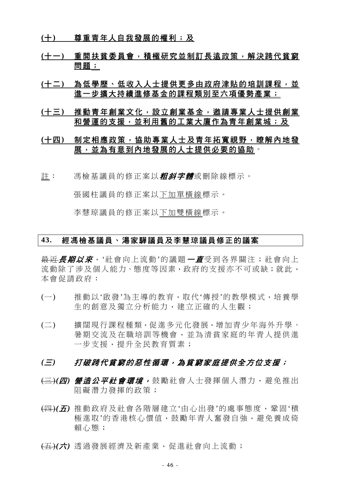- **(**十**)** 尊重青年人自我發展的權利;及
- **(**十一**)** 重開扶貧委員會,積極研究並制訂長遠政策,解決跨代貧窮 問題;
- (十二) 為低學歷、低收入人士提供更多由政府津貼的培訓課程,並 進一步擴大持續進修基金的課程類別至六項優勢產業;
- **(**十三**)** 推動青年創業文化,設立創業基金,邀請專業人士提供創業 和營運的支援,並利用舊的工業大廈作為青年創業城;及

# **(**十四**)** 制定相應政策,協助專業人士及青年拓寬視野,瞭解內地發 展,並為有意到內地發展的人士提供必要的協助。

註: 馮檢基議員的修正案以*粗斜字體*或刪除線標示。

張國柱議員的修正案以下加單橫線標示。

李慧琼議員的修正案以下加雙橫線標示。

# **43.** 經馮檢基議員、湯家驊議員及李慧琼議員修正的議案

<del>最近*長期以來*,'</del>社會向上流動'的議題*一直*受到各界關注;社會向上 流動除了涉及個人能力、態度等因素,政府的支援亦不可或缺;就此, 本會促請政府:

- (一) 推動以'啟發'為主導的教育,取代'傳授'的教學模式,培養學 生的創意及獨立分析能力,建立正確的人生觀;
- (二) 擴闊現行課程種類,促進多元化發展,增加青少年海外升學、 暑期交流及在職培訓等機會,並為清貧家庭的年青人提供進 一步支援,提升全民教育質素;

- (三)*(*四*)* 營造公平社會環境, 鼓勵社會人士發揮個人潛力,避免推出 阻礙潛力發揮的政策;
- (四)*(*五*)* 推動政府及社會各階層建立'由心出發'的處事態度,鞏固'積 極進取'的香港核心價值,鼓勵年青人奮發自強,避免養成倚 賴心態;
- (五)*(*六*)* 透過發展經濟及新產業,促進社會向上流動;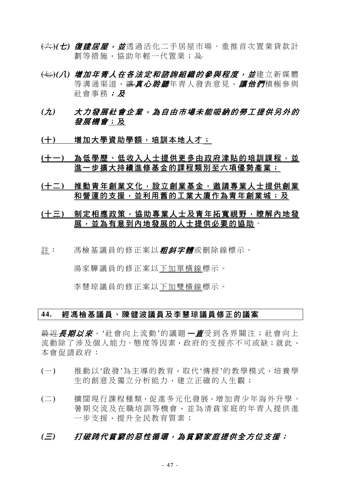- (六)*(*七*)* 復建居屋,並透過活化二手居屋市場、重推首次置業貸款計 劃等措施,協助年輕一代置業;及
- <del>(七)</del>(*八) 增加年青人在各法定和諮詢組織的參與程度,並*建立新媒體 等溝通渠道,讓*真心聆聽*年青人發表意見,讓他們積極參與 社會事務;及
- *(*九*)* 大力發展社會企業,為自由市場未能吸納的勞工提供另外的 發展機會;及
- (十) 增加大學資助學額,培訓本地人才;
- (十一) 為低學歷、低收入人士提供更多由政府津貼的培訓課程,並 進一步擴大持續進修基金的課程類別至六項優勢產業;
- **(**十二**)** 推動青年創業文化,設立創業基金,邀請專業人士提供創業 和營運的支援,並利用舊的工業大廈作為青年創業城;及
- **(**十三**)** 制定相應政策,協助專業人士及青年拓寬視野,瞭解內地發 展,並為有意到內地發展的人士提供必要的協助。
- 註: 馮檢基議員的修正案以*粗斜字體***或刪除線標示。**

湯家驊議員的修正案以下加單橫線標示。

李慧琼議員的修正案以下加雙橫線標示。

## **44.** 經馮檢基議員、陳健波議員及李慧琼議員修正的議案

最近*長期以來*, '社會向上流動'的議題 一*直*受到各界關注; 社會向上 流動除了涉及個人能力、態度等因素,政府的支援亦不可或缺;就此, 本會促請政府:

- (一) 推動以'啟發'為主導的教育,取代'傳授'的教學模式,培養學 生的創意及獨立分析能力,建立正確的人生觀;
- (二) 擴闊現行課程種類,促進多元化發展,增加青少年海外升學、 暑期交流及在職培訓等機會,並為清貧家庭的年青人提供進 一步支援,提升全民教育質素;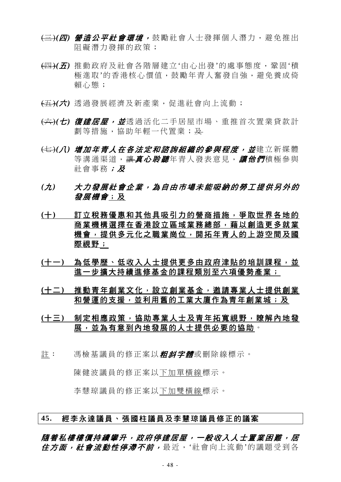- (三)*(*四*)* 營造公平社會環境, 鼓勵社會人士發揮個人潛力,避免推出 阻礙潛力發揮的政策;
- (四)*(*五*)* 推動政府及社會各階層建立'由心出發'的處事態度,鞏固'積 極淮取'的香港核心價值,鼓勵年青人奮發自強,避免養成倚 賴心態;
- (五)*(*六*)* 透過發展經濟及新產業,促進社會向上流動;
- (六)*(*七*)* 復建居屋,並透過活化二手居屋市場、重推首次置業貸款計 劃等措施,協助年輕一代置業;及
- <del>(七)</del>(*八) 增加年青人在各法定和諮詢組織的參與程度,並*建立新媒體 等溝通渠道,讓*真心聆聽*年青人發表意見,讓他們積極參與 社會事務;及
- *(*九*)* 大力發展社會企業,為自由市場未能吸納的勞工提供另外的 發展機會;及
- **(**十**)** 訂立稅務優惠和其他具吸引力的營商措施,爭取世界各地的 商業機構選擇在香港設立區域業務總部,藉以創造更多就業 機會,提供多元化之職業崗位,開拓年青人的上游空間及國 際視野;
- **(**十一**)** 為低學歷、低收入人士提供更多由政府津貼的培訓課程,並 進一步擴大持續進修基金的課程類別至六項優勢產業;
- **(**十二**)** 推動青年創業文化,設立創業基金,邀請專業人士提供創業 和營運的支援,並利用舊的工業大廈作為青年創業城;及
- **(**十三**)** 制定相應政策,協助專業人士及青年拓寬視野,瞭解內地發 展,並為有意到內地發展的人士提供必要的協助。
- 註: 馮檢基議員的修正案以*粗斜字體*或刪除線標示。

陳健波議員的修正案以下加單橫線標示。

李慧琼議員的修正案以下加雙橫線標示。

## **45.** 經李永達議員、張國柱議員及李慧琼議員修正的議案

隨着私樓樓價持續攀升,政府停建居屋,一般收入人士置業困難,居 住方面, 社會流動性停滯不前, 最近, '社會向上流動'的議題受到各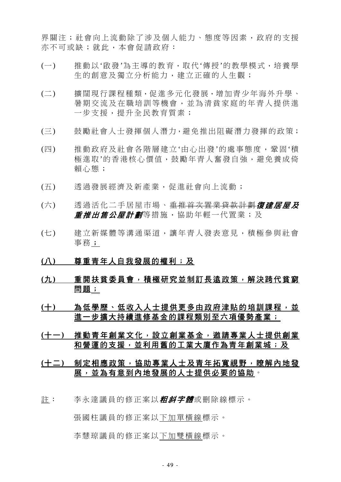界關注;社會向上流動除了涉及個人能力、態度等因素,政府的支援 亦不可或缺;就此,本會促請政府:

- (一) 推動以'啟發'為主導的教育,取代'傳授'的教學模式,培養學 生的創意及獨立分析能力,建立正確的人生觀;
- (二) 擴闊現行課程種類,促進多元化發展,增加青少年海外升學、 暑期交流及在職培訓等機會,並為清貧家庭的年青人提供進 一步支援,提升全民教育質素;
- (三) 鼓勵社會人士發揮個人潛力,避免推出阻礙潛力發揮的政策;
- (四) 推動政府及社會各階層建立'由心出發'的處事態度,鞏固'積 極進取'的香港核心價值,鼓勵年青人奮發自強,避免養成倚 賴心態;
- (五) 透過發展經濟及新產業,促進社會向上流動;
- (六) 诱渦活化二手居屋市場、重推首次置業貸款計劃復建居屋及 *重推出售公屋計劃***等措施,協助年輕一代置業;及**
- (七) 建立新媒體等溝通渠道,讓年青人發表意見,積極參與社會 事務;

## **(**八**)** 尊重青年人自我發展的權利;及

- **(**九**)** 重開扶貧委員會,積極研究並制訂長遠政策,解決跨代貧窮 問題;
- (十) 為低學歷、低收入人士提供更多由政府津貼的培訓課程,並 進一步擴大持續進修基金的課程類別至六項優勢產業;
- **(**十一**)** 推動青年創業文化,設立創業基金,邀請專業人士提供創業 和營運的支援,並利用舊的工業大廈作為青年創業城;及
- **(**十二**)** 制定相應政策,協助專業人士及青年拓寬視野,瞭解內地發 展,並為有意到內地發展的人士提供必要的協助。
- 註: 李永達議員的修正案以*粗斜字體***或刪除線標示。**

張國柱議員的修正案以下加單橫線標示。

李慧琼議員的修正案以下加雙橫線標示。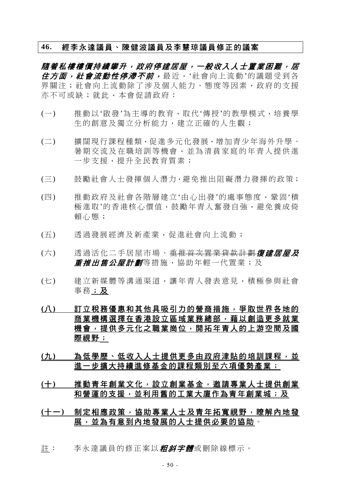## **46.** 經李永達議員、陳健波議員及李慧琼議員修正的議案

**隋着私樓樓價持續攀升,政府停**建居屋,一般收入人士置業困難,居 *住方面,社會流動性停滯不前,*最近,'社會向上流動'的議題受到各 界關注;社會向上流動除了涉及個人能力、態度等因素,政府的支援 亦不可或缺;就此,本會促請政府:

- (一) 推動以'啟發'為主導的教育,取代'傳授'的教學模式,培養學 生的創意及獨立分析能力,建立正確的人生觀;
- (二) 擴闊現行課程種類,促進多元化發展,增加青少年海外升學、 暑期交流及在職培訓等機會,並為清貧家庭的年青人提供進 一步支援,提升全民教育質素;
- (三) 鼓勵社會人士發揮個人潛力,避免推出阻礙潛力發揮的政策;
- (四) 推動政府及社會各階層建立'由心出發'的處事態度,鞏固'積 極進取'的香港核心價值,鼓勵年青人奮發自強,避免養成倚 賴心態;
- (五) 透過發展經濟及新產業,促進社會向上流動;
- (六) 透過活化二手居屋市場、<del>重推首次置業貸款計劃</del>復建居屋及 *重推出售公屋計劃*等措施,協助年輕一代置業;及
- (七) 建立新媒體等溝通渠道,讓年青人發表意見,積極參與社會 事務;及
- **(**八**)** 訂立稅務優惠和其他具吸引力的營商措施,爭取世界各地的 商業機構選擇在香港設立區域業務總部,藉以創造更多就業 機會,提供多元化之職業崗位,開拓年青人的上游空間及國 際視野;
- (九) 為低學歷、低收入人士提供更多由政府津貼的培訓課程,並 進一步擴大持續進修基金的課程類別至六項優勢產業;
- **(**十**)** 推動青年創業文化,設立創業基金,邀請專業人士提供創業 和營運的支援,並利用舊的工業大廈作為青年創業城;及
- **(**十一**)** 制定相應政策,協助專業人士及青年拓寬視野,瞭解內地發 展,並為有意到內地發展的人士提供必要的協助。
- 註: 李永達議員的修正案以*粗斜字體*或刪除線標示。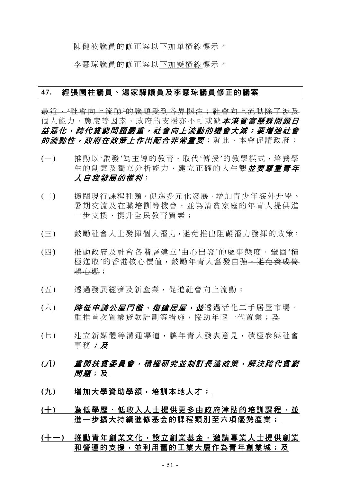陳健波議員的修正案以下加單橫線標示。

李慧琼議員的修正案以下加雙橫線標示。

## **47.** 經張國柱議員、湯家驊議員及李慧琼議員修正的議案

最近,'社會向上流動'的議題受到各界關注;社會向上流動除了涉及 個人能力、態度等因素,政府的支援亦不可或缺本港貧富懸殊問題日 益惡化,跨代貧窮問題嚴重,社會向上流動的機會大減;要增強社會 的流動性,政府在政策上作出配合非常重要;就此,本會促請政府:

- (一) 推動以'啟發'為主導的教育,取代'傳授'的教學模式,培養學 生的創意及獨立分析能力,建立正確的人生觀**並要尊重責年** 人自我發展的權利;
- (二) 擴闊現行課程種類,促進多元化發展,增加青少年海外升學、 暑期交流及在職培訓等機會,並為清貧家庭的年青人提供進 一步支援,提升全民教育質素;
- (三) 鼓勵社會人士發揮個人潛力,避免推出阻礙潛力發揮的政策;
- (四) 推動政府及社會各階層建立'由心出發'的處事態度,鞏固'積 極進取'的香港核心價值,鼓勵年青人奮發自強,避免養成倚 賴心態;
- (五) 透過發展經濟及新產業,促進社會向上流動;
- (六) *降低申請公屋門檻、復建居屋,並*透過活化二手居屋市場、 重推首次置業貸款計劃等措施,協助年輕一代置業;及
- (七) 建立新媒體等溝通渠道,讓年青人發表意見,積極參與社會 事務;及
- *(*八*)* 重開扶貧委員會,積極研究並制訂長遠政策,解決跨代貧窮 *問題*;及
- (九) 增加大學資助學額,培訓本地人才;
- (十) 為低學歷、低收入人士提供更多由政府津貼的培訓課程,並 進一步擴大持續進修基金的課程類別至六項優勢產業;
- **(**十一**)** 推動青年創業文化,設立創業基金,邀請專業人士提供創業 和營運的支援,並利用舊的工業大廈作為青年創業城;及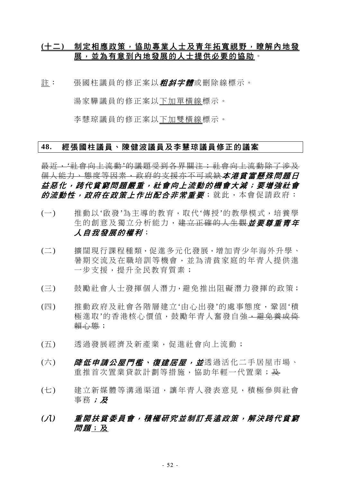# **(**十二**)** 制定相應政策,協助專業人士及青年拓寬視野,瞭解內地發 展,並為有意到內地發展的人士提供必要的協助。

註: 張國柱議員的修正案以*粗斜字體*或刪除線標示。

湯家驊議員的修正案以下加單橫線標示。

李慧琼議員的修正案以下加雙橫線標示。

### **48.** 經張國柱議員、陳健波議員及李慧琼議員修正的議案

最近,'社會向上流動'的議題受到各界關注;社會向上流動除了涉及 個人能力、態度等因素,政府的支援亦不可或缺本港貧富懸殊問題日 益惡化,跨代貧窮問題嚴重,社會向上流動的機會大減;要增強社會 的流動性,政府在政策上作出配合非常重要;就此,本會促請政府:

- (一) 推動以'啟發'為主導的教育,取代'傳授'的教學模式,培養學 生的創意及獨立分析能力, 建立正確的人生觀**並要尊重青年** 人自我發展的權利;
- (二) 擴闊現行課程種類,促進多元化發展,增加青少年海外升學、 暑期交流及在職培訓等機會,並為清貧家庭的年青人提供進 一步支援,提升全民教育質素;
- (三) 鼓勵社會人士發揮個人潛力,避免推出阻礙潛力發揮的政策;
- (四) 推動政府及社會各階層建立'由心出發'的處事態度,鞏固'積 極淮取'的香港核心價值,鼓勵年青人奮發自強,避免養成倍 賴心態;
- (五) 透過發展經濟及新產業,促進社會向上流動;
- (六) *降低申請公屋門檻、復建居屋,並*透過活化二手居屋市場、 重推首次置業貸款計劃等措施,協助年輕一代置業;及
- (七) 建立新媒體等溝通渠道,讓年青人發表意見,積極參與社會 事務;及
- *(*八*)* 重開扶貧委員會,積極研究並制訂長遠政策,解決跨代貧窮 *問題*;及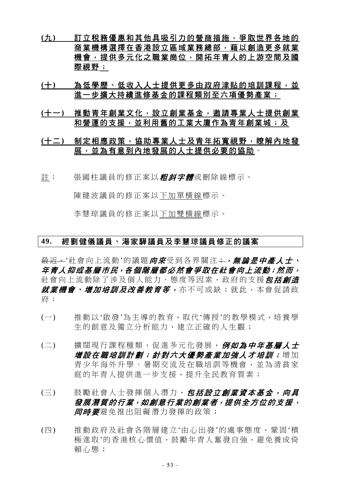- **(**九**)** 訂立稅務優惠和其他具吸引力的營商措施,爭取世界各地的 商業機構選擇在香港設立區域業務總部,藉以創造更多就業 機會,提供多元化之職業崗位,開拓年青人的上游空間及國 際視野;
- (十) 為低學歷、低收入人士提供更多由政府津貼的培訓課程,並 進一步擴大持續進修基金的課程類別至六項優勢產業;
- **(**十一**)** 推動青年創業文化,設立創業基金,邀請專業人士提供創業 和營運的支援,並利用舊的工業大廈作為青年創業城;及

# **(**十二**)** 制定相應政策,協助專業人士及青年拓寬視野,瞭解內地發 展,並為有意到內地發展的人士提供必要的協助。

註: 張國柱議員的修正案以**粗斜字體**或刪除線標示。

陳健波議員的修正案以下加單橫線標示。

李慧琼議員的修正案以下加雙橫線標示。

## **49.** 經劉健儀議員、湯家驊議員及李慧琼議員修正的議案

最近,'社會向上流動'的議題向來受到各界關注;,,無論是中產人士、 年青人抑或基層市民,各個階層都必然會爭取在社會向上流動;然而, 社會向上流動除了涉及個人能力、態度等因素,政府的支援*包括創造* 就業機會、增加培訓及改善教育等,亦不可或缺;就此,本會促請政 府:

- (一) 推動以'啟發'為主導的教育,取代'傳授'的教學模式,培養學 生的創意及獨立分析能力,建立正確的人生觀;
- (二) 擴闊現行課程種類,促進多元化發展,例如為中年基層人士 增設在職培訓計劃;針對六大優勢產業加強人才培訓;增加 青少年海外升學、暑期交流及在職培訓等機會,並為清貧家 庭的年青人提供進一步支援,提升全民教育質素;
- (三) 鼓勵社會人士發揮個人潛力, 包括設立創業資本基金, 向具 發展潛質的行業,如創意行業的創業者,提供全方位的支援, 后用某些某些责任的事实。
- (四) 推動政府及社會各階層建立'由心出發'的處事態度,鞏固'積 極進取'的香港核心價值,鼓勵年青人奮發自強,避免養成倚 賴心態;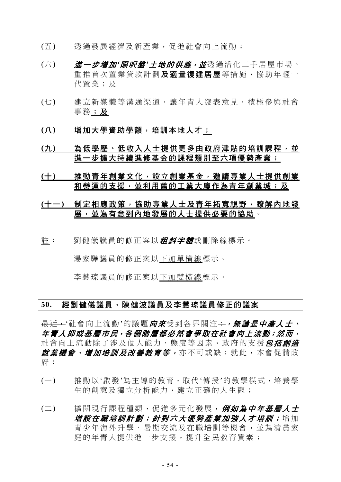- (五) 透過發展經濟及新產業,促進社會向上流動;
- (六) **道一步增加'限呎盤'土地的供應,並**透過活化二手居屋市場、 重推首次置業貸款計劃及適量復建居屋等措施,協助年輕一 代置業;及
- (七) 建立新媒體等溝通渠道,讓年青人發表意見,積極參與社會 事務;及
- (八) 増加大學資助學額,培訓本地人才;
- **(**九**)** 為低學歷、低收入人士提供更多由政府津貼的培訓課程,並 進一步擴大持續進修基金的課程類別至六項優勢產業;
- **(**十**)** 推動青年創業文化,設立創業基金,邀請專業人士提供創業 和營運的支援,並利用舊的工業大廈作為青年創業城;及
- **(**十一**)** 制定相應政策,協助專業人士及青年拓寬視野,瞭解內地發 展,並為有意到內地發展的人士提供必要的協助。
- 註: 劉健儀議員的修正案以*粗斜字體*或刪除線標示。

湯家驊議員的修正案以下加單橫線標示。

李慧琼議員的修正案以下加雙橫線標示。

## **50.** 經劉健儀議員、陳健波議員及李慧琼議員修正的議案

最近,'社會向上流動'的議題*向來*受到各界關注;,, , 無論*是中產人士*、 年青人抑或基層市民,各個階層都必然會爭取在社會向上流動;然而, 社會向上流動除了涉及個人能力、態度等因素,政府的支援*包括創造 就業機會、增加培訓及改善教育等,*亦不可或缺;就此,本會促請政 府:

- (一) 推動以'啟發'為主導的教育,取代'傳授'的教學模式,培養學 生的創意及獨立分析能力,建立正確的人生觀;
- (二) 擴闊現行課程種類,促進多元化發展,例如為中年基層人士 增設在職培訓計劃;針對六大優勢產業加強人才培訓;增加 青少年海外升學、暑期交流及在職培訓等機會,並為清貧家 庭的年青人提供進一步支援,提升全民教育質素;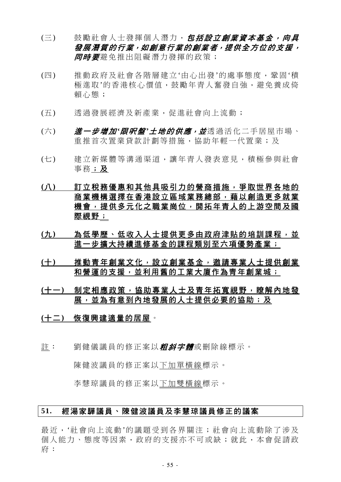- (三) 鼓勵社會人士發揮個人潛力, 包括設立創業資本基金, 向具 發展潛質的行業,如創意行業的創業者,提供全方位的支援, 后用某些关系的医院;
- (四) 推動政府及社會各階層建立'由心出發'的處事態度,鞏固'積 極淮取'的香港核心價值,鼓勵年青人奮發自強,灌免養成倚 賴心態;
- (五) 透過發展經濟及新產業,促進社會向上流動;
- (六) **道一步增加'限呎盤'土地的供應,並**透過活化二手居屋市場、 重推首次置業貸款計劃等措施,協助年輕一代置業;及
- (七) 建立新媒體等溝通渠道,讓年青人發表意見,積極參與社會 事務;及
- **(**八**)** 訂立稅務優惠和其他具吸引力的營商措施,爭取世界各地的 商業機構選擇在香港設立區域業務總部,藉以創造更多就業 機會,提供多元化之職業崗位,開拓年青人的上游空間及國 際視野;
- (九) 為低學歷、低收入人士提供更多由政府津貼的培訓課程,並 進一步擴大持續進修基金的課程類別至六項優勢產業;
- **(**十**)** 推動青年創業文化,設立創業基金,邀請專業人士提供創業 和營運的支援,並利用舊的工業大廈作為青年創業城;
- **(**十一**)** 制定相應政策,協助專業人士及青年拓寬視野,瞭解內地發 展,並為有意到內地發展的人士提供必要的協助;及
- **(**十二**)** 恢復興建適量的居屋。
- 註: 劉健儀議員的修正案以*粗斜字體*或刪除線標示。

陳健波議員的修正案以下加單橫線標示。

李慧琼議員的修正案以下加雙橫線標示。

## **51.** 經湯家驊議員、陳健波議員及李慧琼議員修正的議案

最近,'社會向上流動'的議題受到各界關注;社會向上流動除了涉及 個人能力、態度等因素,政府的支援亦不可或缺;就此,本會促請政 府: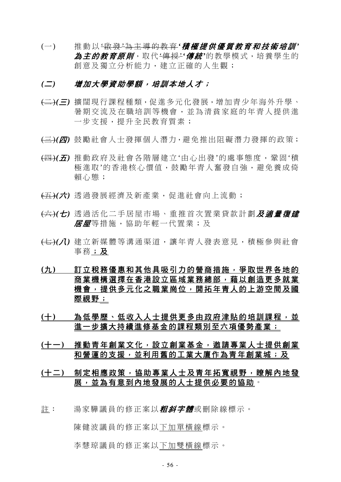(一) 推動以 '啟 發 '為主導的教育 *'*積極提供優質教育和技術培訓 *'* 為*主的教育原則*,取代<del>'傳授'</del>'*傳統*'的教學模式,培養學生的 創意及獨立分析能力,建立正確的人生觀;

### *(*二*)* 增加大學資助學額,培訓本地人才;

- (二)*(*三*)* 擴闊現行課程種類,促進多元化發展,增加青少年海外升學、 暑期交流及在職培訓等機會,並為清貧家庭的年青人提供進 一步支援,提升全民教育質素;
- (三)*(*四*)* 鼓勵社會人士發揮個人潛力,避免推出阻礙潛力發揮的政策;
- (四)*(*五*)* 推動政府及社會各階層建立'由心出發'的處事態度,鞏固'積 極進取'的香港核心價值,鼓勵年青人奮發自強,避免養成倚 賴心態;
- (五)*(*六*)* 透過發展經濟及新產業,促進社會向上流動;
- (六)*(*七*)* 透過活化二手居屋市場、重推首次置業貸款計劃及適量復建 后后关措施,協助年輕一代置業;及
- (七)*(*八*)* 建立新媒體等溝通渠道,讓年青人發表意見,積極參與社會 事務;及
- **(**九**)** 訂立稅務優惠和其他具吸引力的營商措施,爭取世界各地的 商業機構選擇在香港設立區域業務總部,藉以創造更多就業 機會,提供多元化之職業崗位,開拓年青人的上游空間及國 際視野;
- (十) 為低學歷、低收入人士提供更多由政府津貼的培訓課程,並 進一步擴大持續進修基金的課程類別至六項優勢產業;
- **(**十一**)** 推動青年創業文化,設立創業基金,邀請專業人士提供創業 和營運的支援,並利用舊的工業大廈作為青年創業城;及
- **(**十二**)** 制定相應政策,協助專業人士及青年拓寬視野,瞭解內地發 展,並為有意到內地發展的人士提供必要的協助。
- 註: 湯家驊議員的修正案以*粗斜字體***或刪除線標示。**

陳健波議員的修正案以下加單橫線標示。

李慧琼議員的修正案以下加雙橫線標示。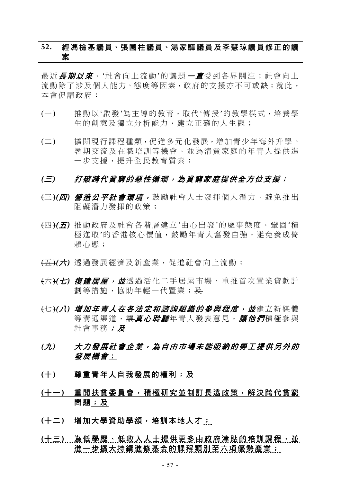# **52.** 經馮檢基議員、張國柱議員、湯家驊議員及李慧琼議員修正的議 案

最近*長期以來*, '社會向上流動'的議題 一直受到各界關注; 社會向上 流動除了涉及個人能力、態度等因素,政府的支援亦不可或缺;就此, 本會促請政府:

- (一) 推動以'啟發'為主導的教育,取代'傳授'的教學模式,培養學 生的創意及獨立分析能力,建立正確的人生觀;
- (二) 擴闊現行課程種類,促進多元化發展,增加青少年海外升學、 暑期交流及在職培訓等機會,並為清貧家庭的年青人提供進 一步支援,提升全民教育質素;

- (三)*(*四*)* 營造公平社會環境, 鼓勵社會人士發揮個人潛力,避免推出 阻礙潛力發揮的政策;
- (四)*(*五*)* 推動政府及社會各階層建立'由心出發'的處事態度,鞏固'積 極進取'的香港核心價值,鼓勵年青人奮發自強,避免養成倚 賴心態;
- (五)*(*六*)* 透過發展經濟及新產業,促進社會向上流動;
- (六)*(*七*)* 復建居屋,並透過活化二手居屋市場、重推首次置業貸款計 劃等措施,協助年輕一代置業;及
- (七)*(*八*)* 增加年青人在各法定和諮詢組織的參與程度,並建立新媒體 等溝通渠道,讓真心*聆聽*年青人發表意見,讓他們積極參與 社會事務; 及
- *(*九*)* 大力發展社會企業,為自由市場未能吸納的勞工提供另外的 發展機會;
- **(**十**)** 尊重青年人自我發展的權利;及
- **(**十一**)** 重開扶貧委員會,積極研究並制訂長遠政策,解決跨代貧窮 問題;及
- **(**十二**)** 增加大學資助學額,培訓本地人才;
- (十三) 热低學歷、低收入人士提供更多由政府津貼的培訓課程, 並 進一步擴大持續進修基金的課程類別至六項優勢產業;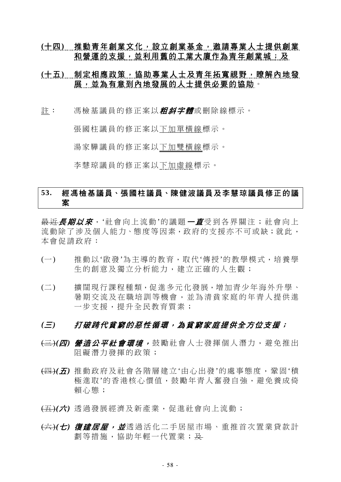# **(**十四**)** 推動青年創業文化,設立創業基金,邀請專業人士提供創業 和營運的支援,並利用舊的工業大廈作為青年創業城;及

# (十五) 制定相應政策, 協助專業人士及青年拓寬視野, 瞭解內地發 展,並為有意到內地發展的人士提供必要的協助。

註: 馮檢基議員的修正案以*粗斜字體*或刪除線標示。

張國柱議員的修正案以下加單橫線標示。

湯家驊議員的修正案以下加雙橫線標示。

李慧琼議員的修正案以下加虛線標示。

# **53.** 經馮檢基議員、張國柱議員、陳健波議員及李慧琼議員修正的議 案

最近*長期以來*,'社會向上流動'的議題*一直*受到各界關注;社會向上 流動除了涉及個人能力、態度等因素,政府的支援亦不可或缺;就此, 本會促請政府:

- (一) 推動以'啟發'為主導的教育,取代'傳授'的教學模式,培養學 生的創意及獨立分析能力,建立正確的人生觀;
- (二) 擴闊現行課程種類,促進多元化發展,增加青少年海外升學、 暑期交流及在職培訓等機會,並為清貧家庭的年青人提供進 一步支援,提升全民教育質素;

- (三)*(*四*)* 營造公平社會環境, 鼓勵社會人士發揮個人潛力,避免推出 阻礙潛力發揮的政策;
- (四)*(*五*)* 推動政府及社會各階層建立'由心出發'的處事態度,鞏固'積 極淮取'的香港核心價值,鼓勵年青人奮發自強,避免養成倚 賴心態;
- (五)*(*六*)* 透過發展經濟及新產業,促進社會向上流動;
- (六)*(*七*)* 復建居屋,並透過活化二手居屋市場、重推首次置業貸款計 劃等措施,協助年輕一代置業;及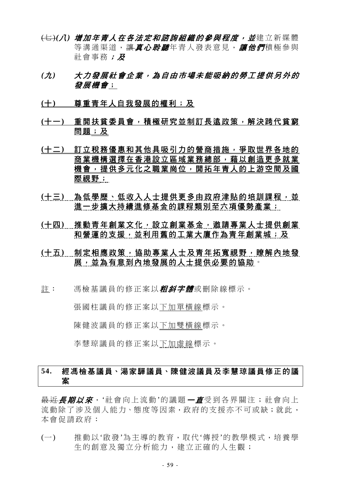- <del>(七)</del>(*八) 增加年青人在各法定和諮詢組織的參與程度,並*建立新媒體 等溝涌渠道, 讓*真心聆聽*年青人發表意見, *讓他們*積極參與 社會事務;及
- *(*九*)* 大力發展社會企業,為自由市場未能吸納的勞工提供另外的 發展機會;
- **(**十**)** 尊重青年人自我發展的權利;及
- **(**十一**)** 重開扶貧委員會,積極研究並制訂長遠政策,解決跨代貧窮 問題;及
- **(**十二**)** 訂立稅務優惠和其他具吸引力的營商措施,爭取世界各地的 商業機構選擇在香港設立區域業務總部,藉以創造更多就業 機會,提供多元化之職業崗位,開拓年青人的上游空間及國 際視野;
- (十三) 為低學歷、低收入人士提供更多由政府津貼的培訓課程,並 進一步擴大持續進修基金的課程類別至六項優勢產業;
- **(**十四**)** 推動青年創業文化,設立創業基金,邀請專業人士提供創業 和營運的支援,並利用舊的工業大廈作為青年創業城;及
- <u>(十五) 制定相應政策,協助專業人士及青年拓寬視野,瞭解內地發</u> 展,並為有意到內地發展的人士提供必要的協助。
- 註: 馮檢基議員的修正案以*粗斜字體***或刪除線標示。**

張國柱議員的修正案以下加單橫線標示。

陳健波議員的修正案以下加雙橫線標示。

李慧琼議員的修正案以下加虛線標示。

# **54.** 經馮檢基議員、湯家驊議員、陳健波議員及李慧琼議員修正的議 案

最近*長期以來*, '社會向上流動'的議題 一直受到各界關注; 社會向上 流動除了涉及個人能力、態度等因素,政府的支援亦不可或缺;就此, 本會促請政府:

(一) 推動以'啟發'為主導的教育,取代'傳授'的教學模式,培養學 生的創意及獨立分析能力,建立正確的人生觀;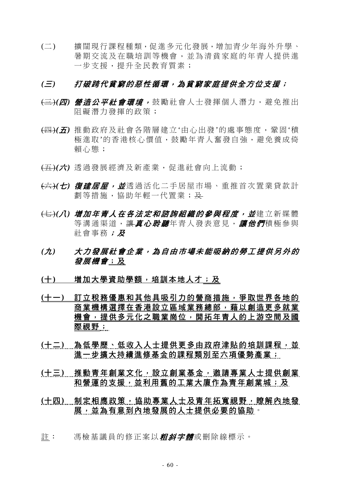(二) 擴闊現行課程種類,促進多元化發展,增加青少年海外升學、 暑期交流及在職培訓等機會,並為清貧家庭的年青人提供進 一步支援,提升全民教育質素;

- (三)*(*四*)* 營造公平社會環境, 鼓勵社會人士發揮個人潛力,避免推出 阻礙潛力發揮的政策;
- (四)*(*五*)* 推動政府及社會各階層建立'由心出發'的處事態度,鞏固'積 極進取'的香港核心價值,鼓勵年青人奮發自強,避免養成倚 賴心態;
- (五)*(*六*)* 透過發展經濟及新產業,促進社會向上流動;
- (六)*(*七*)* 復建居屋,並透過活化二手居屋市場、重推首次置業貸款計 劃等措施,協助年輕一代置業;及
- <del>(七)</del>(*八) 增加年青人在各法定和諮詢組織的參與程度,並*建立新媒體 等溝涌渠道, 讓*直心聆聽*年青人發表意見, *讓他們*積極參與 社會事務;及
- *(*九*)* 大力發展社會企業,為自由市場未能吸納的勞工提供另外的 發展機會;及
- (十) 增加大學資助學額,培訓本地人才;及
- **(**十一**)** 訂立稅務優惠和其他具吸引力的營商措施,爭取世界各地的 商業機構選擇在香港設立區域業務總部,藉以創造更多就業 機會,提供多元化之職業崗位,開拓年青人的上游空間及國 際視野;
- (十二) 為低學歷、低收入人士提供更多由政府津貼的培訓課程,並 進一步擴大持續進修基金的課程類別至六項優勢產業;
- **(**十三**)** 推動青年創業文化,設立創業基金,邀請專業人士提供創業 和營運的支援,並利用舊的工業大廈作為青年創業城;及
- **(**十四**)** 制定相應政策,協助專業人士及青年拓寬視野,瞭解內地發 展,並為有意到內地發展的人士提供必要的協助。
- 註: 馮檢基議員的修正案以**粗斜字體**或刪除線標示。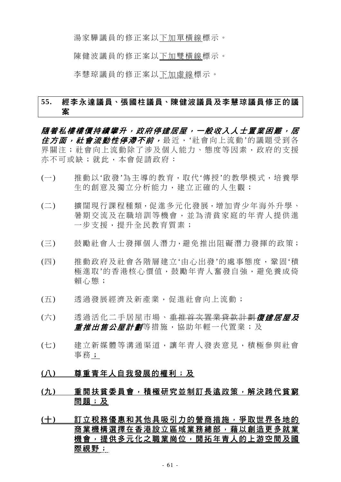湯家驊議員的修正案以下加單橫線標示。

陳健波議員的修正案以下加雙橫線標示。

李慧琼議員的修正案以下加虛線標示。

# **55.** 經李永達議員、張國柱議員、陳健波議員及李慧琼議員修正的議 案

隨着私樓樓價持續攀升,政府停建居屋,一般收入人士置業困難,居 在方面, 社會流動性停滯不前, 最近, '社會向上流動'的議題受到各 界關注;社會向上流動除了涉及個人能力、態度等因素,政府的支援 亦不可或缺;就此,本會促請政府:

- (一) 推動以'啟發'為主導的教育,取代'傳授'的教學模式,培養學 生的創意及獨立分析能力,建立正確的人生觀;
- (二) 擴闊現行課程種類,促進多元化發展,增加青少年海外升學、 暑期交流及在職培訓等機會,並為清貧家庭的年青人提供進 一步支援,提升全民教育質素;
- (三) 鼓勵社會人士發揮個人潛力,避免推出阻礙潛力發揮的政策;
- (四) 推動政府及社會各階層建立'由心出發'的處事態度,鞏固'積 極進取'的香港核心價值,鼓勵年青人奮發自強,避免養成倚 賴心態;
- (五) 透過發展經濟及新產業,促進社會向上流動;
- (六) 透過活化二手居屋市場、<del>重推首次置業貸款計劃</del>復建居屋及 **重推出售公屋計劃**等措施,協助年輕一代置業;及
- (七) 建立新媒體等溝通渠道,讓年青人發表意見,積極參與社會 事務;
- **(**八**)** 尊重青年人自我發展的權利;及
- **(**九**)** 重開扶貧委員會,積極研究並制訂長遠政策,解決跨代貧窮 問題;及
- **(**十**)** 訂立稅務優惠和其他具吸引力的營商措施,爭取世界各地的 商業機構選擇在香港設立區域業務總部,藉以創造更多就業 機會,提供多元化之職業崗位,開拓年青人的上游空間及國 際視野;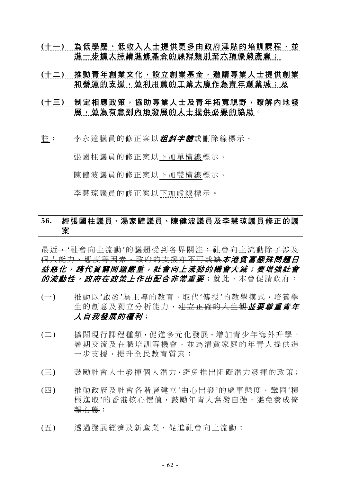- **(**十一**)** 為低學歷、低收入人士提供更多由政府津貼的培訓課程,並 進一步擴大持續進修基金的課程類別至六項優勢產業;
- **(**十二**)** 推動青年創業文化,設立創業基金,邀請專業人士提供創業 和營運的支援,並利用舊的工業大廈作為青年創業城;及
- **(**十三**)** 制定相應政策,協助專業人士及青年拓寬視野,瞭解內地發 展,並為有意到內地發展的人士提供必要的協助。
- 註: 李永達議員的修正案以*粗斜字體*或刪除線標示。

張國柱議員的修正案以下加單橫線標示。

陳健波議員的修正案以下加雙橫線標示。

李慧琼議員的修正案以下加虛線標示。

# **56.** 經張國柱議員、湯家驊議員、陳健波議員及李慧琼議員修正的議 案

最近,'社會向上流動'的議題受到各界關注;社會向上流動除了涉及 個人能力、態度等因素,政府的支援亦不可或缺*本港貧富懸殊問題日* 益惡化,跨代貧窮問題嚴重,社會向上流動的機會大減;要增強社會 *的流動性,政府在政策上作出配合非常重要*;就此,本會促請政府:

- (一) 推動以'啟發'為主導的教育,取代'傳授'的教學模式,培養學 生的創意及獨立分析能力,建立正確的人生觀並要尊重青年 人自我發展的權利;
- (二) 擴闊現行課程種類,促進多元化發展,增加青少年海外升學、 暑期交流及在職培訓等機會,並為清貧家庭的年青人提供進 一步支援,提升全民教育質素;
- (三) 鼓勵社會人士發揮個人潛力,避免推出阻礙潛力發揮的政策;
- (四) 推動政府及社會各階層建立'由心出發'的處事態度,鞏固'積 極進取'的香港核心價值,鼓勵年青人奮發自強,<del>避免養成倚</del> 賴心態;
- (五) 透過發展經濟及新產業,促進社會向上流動;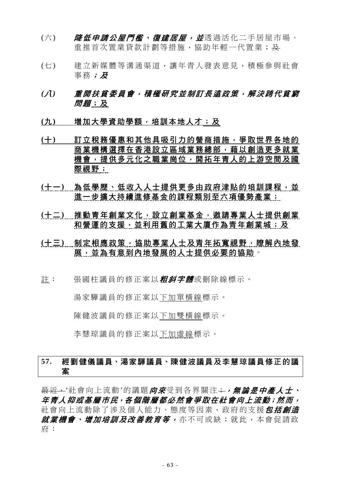- (六) *降低申請公屋門檻、復建居屋,並*透過活化二手居屋市場、 重推首次置業貸款計劃等措施,協助年輕一代置業;及
- (七) 建立新媒體等溝通渠道,讓年青人發表意見,積極參與社會 事務;及
- *(*八*)* 重開扶貧委員會,積極研究並制訂長遠政策,解決跨代貧窮 *問題*;及
- **(**九**)** 增加大學資助學額,培訓本地人才;及
- **(**十**)** 訂立稅務優惠和其他具吸引力的營商措施,爭取世界各地的 商業機構選擇在香港設立區域業務總部,藉以創造更多就業 機會,提供多元化之職業崗位,開拓年青人的上游空間及國 際視野;
- (十一) 為低學歷、低收入人士提供更多由政府津貼的培訓課程,並 進一步擴大持續進修基金的課程類別至六項優勢產業;
- **(**十二**)** 推動青年創業文化,設立創業基金,邀請專業人士提供創業 和營運的支援,並利用舊的工業大廈作為青年創業城;及
- **(**十三**)** 制定相應政策,協助專業人士及青年拓寬視野,瞭解內地發 展,並為有意到內地發展的人士提供必要的協助。
- 註: 張國柱議員的修正案以*粗斜字體***或刪除線標示。**

湯家驊議員的修正案以下加單橫線標示。

陳健波議員的修正案以下加雙橫線標示。

李慧琼議員的修正案以下加虛線標示。

# **57.** 經劉健儀議員、湯家驊議員、陳健波議員及李慧琼議員修正的議 案

最近,'社會向上流動'的議題*向來*受到各界關注;,,無論是中產人士、 年青人抑或基層市民,各個階層都必然會爭取在社會向上流動;然而, 社會向上流動除了涉及個人能力、熊度等因素, 政府的支援*包括創造* 就業機會、增加培訓及改善教育等, 亦不可或缺; 就此, 本會促請政 府: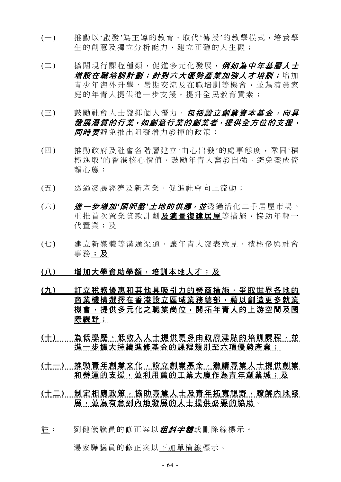- (一) 推動以'啟發'為主導的教育,取代'傳授'的教學模式,培養學 生的創意及獨立分析能力,建立正確的人生觀;
- (二) 擴闊現行課程種類,促進多元化發展, 例如為中年基層人士 增設在職培訓計劃;針對六大優勢產業加強人才培訓;增加 青少年海外升學、暑期交流及在職培訓等機會,並為清貧家 庭的年青人提供淮一步支援,提升全民教育質素;
- (三) 鼓勵社會人士發揮個人潛力, *包括設立創業資本基金, 向具* 發展潛質的行業,如創意行業的創業者,提供全方位的支援, **同時要**避免推出阻礙潛力發揮的政策;
- (四) 推動政府及社會各階層建立'由心出發'的處事態度,鞏固'積 極淮取'的香港核心價值,鼓勵年青人奮發自強,灌免養成倚 賴心態;
- (五) 透過發展經濟及新產業,促進社會向上流動;
- (六) **進一步增加'限呎盤'土地的供應,並**透過活化二手居屋市場、 重推首次置業貸款計劃及適量復建居屋等措施,協助年輕一 代置業;及
- (七) 建立新媒體等溝通渠道,讓年青人發表意見,積極參與社會 事務;及
- **(**八**)** 增加大學資助學額,培訓本地人才;及
- **(**九**)** 訂立稅務優惠和其他具吸引力的營商措施,爭取世界各地的 商業機構選擇在香港設立區域業務總部,藉以創造更多就業 機會,提供多元化之職業崗位,開拓年青人的上游空間及國 際視野;
- (十) 為低學歷、低收入人士提供更多由政府津貼的培訓課程,並 進一步擴大持續進修基金的課程類別至六項優勢產業;
- **(**十一**)** 推動青年創業文化,設立創業基金,邀請專業人士提供創業 和營運的支援,並利用舊的工業大廈作為青年創業城;及
- **(**十二**)** 制定相應政策,協助專業人士及青年拓寬視野,瞭解內地發 展,並為有意到內地發展的人士提供必要的協助。
- 註: 劉健儀議員的修正案以*粗斜字體***或刪除線標示。**

湯家驊議員的修正案以下加單橫線標示。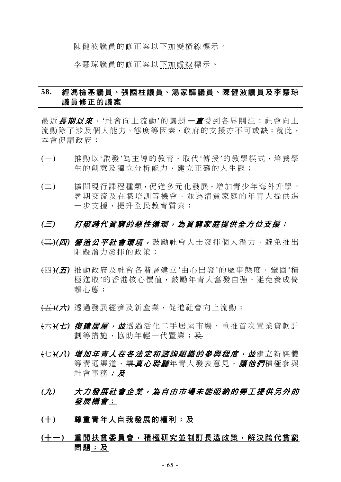陳健波議員的修正案以下加雙橫線標示。

李慧琼議員的修正案以下加虛線標示。

# **58.** 經馮檢基議員、張國柱議員、湯家驊議員、陳健波議員及李慧琼 議員修正的議案

最近*長期以來*, '社會向上流動'的議題*一直*受到各界關注; 社會向上 流動除了涉及個人能力、態度等因素,政府的支援亦不可或缺;就此, 本會促請政府:

- (一) 推動以'啟發'為主導的教育,取代'傳授'的教學模式,培養學 生的創意及獨立分析能力,建立正確的人生觀;
- (二) 擴闊現行課程種類,促進多元化發展,增加青少年海外升學、 暑期交流及在職培訓等機會,並為清貧家庭的年青人提供進 一步支援,提升全民教育質素;

- (三)*(*四*)* 營造公平社會環境, 鼓勵社會人士發揮個人潛力,避免推出 阻礙潛力發揮的政策;
- (四)*(*五*)* 推動政府及社會各階層建立'由心出發'的處事態度,鞏固'積 極進取'的香港核心價值,鼓勵年青人奮發自強,避免養成倚 賴心態;
- (五)*(*六*)* 透過發展經濟及新產業,促進社會向上流動;
- (六)*(*七*)* 復建居屋,並透過活化二手居屋市場、重推首次置業貸款計 劃等措施,協助年輕一代置業;及
- (七)*(*八*)* 增加年青人在各法定和諮詢組織的參與程度,並建立新媒體 等溝通渠道,讓真心*聆聽*年青人發表意見,讓他們積極參與 社會事務;及
- *(*九*)* 大力發展社會企業,為自由市場未能吸納的勞工提供另外的 發展機會;
- **(**十**)** 尊重青年人自我發展的權利;及
- **(**十一**)** 重開扶貧委員會,積極研究並制訂長遠政策,解決跨代貧窮 問題;及